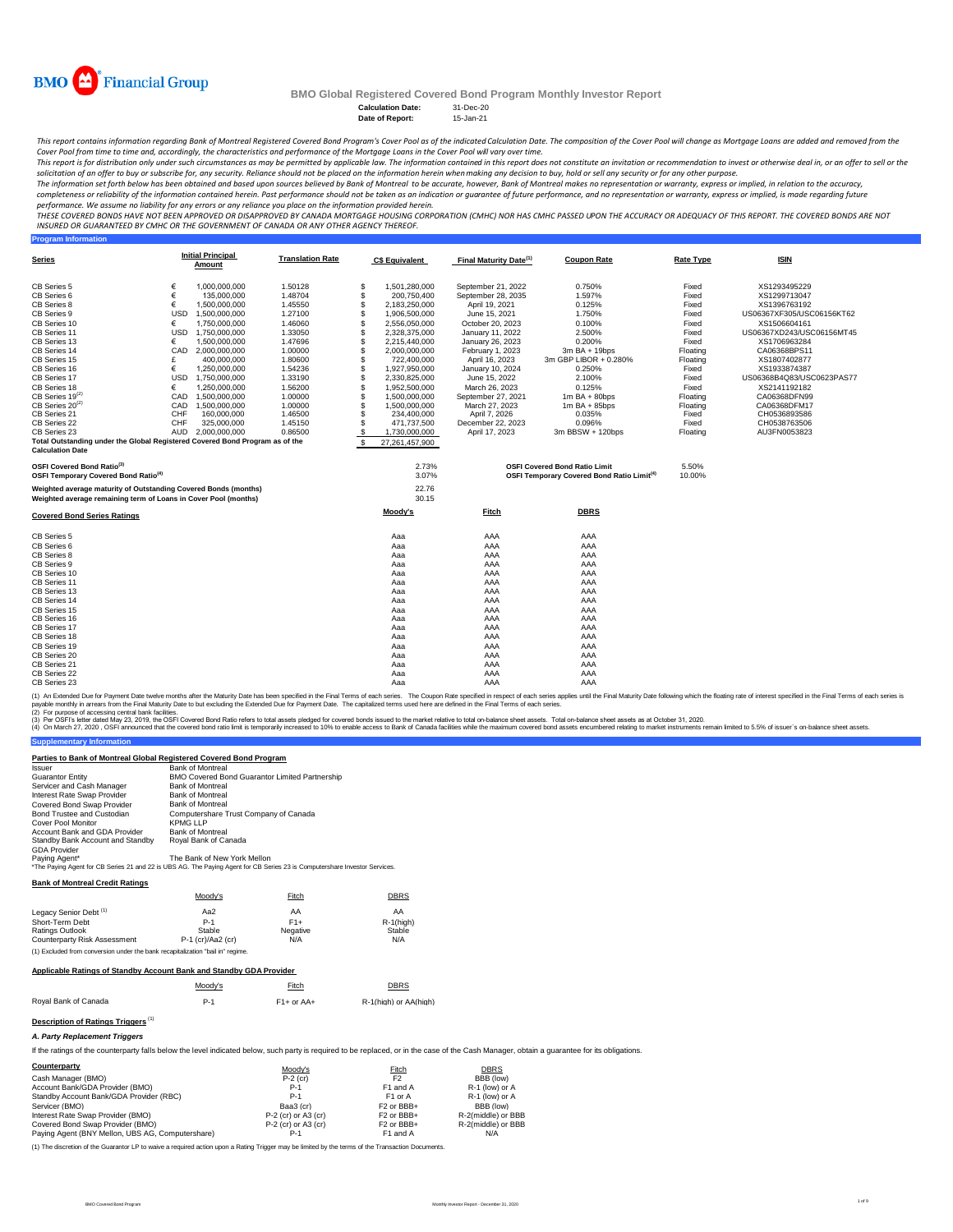

**Program Information**

## **BMO Global Registered Covered Bond Program Monthly Investor Report**

Calculation Date: 31-Dec-20<br>Date of Report: 15-Jan-21 **Date of Report:** 

This report contains information regarding Bank of Montreal Registered Covered Bond Program's Cover Pool as of the indicated Calculation Date. The composition of the Cover Pool will change as Mortgage Loans are added and r *Cover Pool from time to time and, accordingly, the characteristics and performance of the Mortgage Loans in the Cover Pool will vary over time.*

This report is for distribution only under such circumstances as may be permitted by applicable law. The information contained in this report does not constitute an invitation or recommendation to invest or otherwise deal

The information set forth below has been obtained and based upon sources believed by Bank of Montreal co be accurate, however, Bank of Montreal makes no representation or warranty, express or implied, in relation to the ac

performance. We assume no liability for any errors or any reliance you place on the information provided herein.<br>THESE COVERED BONDS HAVE NOT BEEN APPROVED BO DISAPPROVED BY CANADA MORTGAGE HOUSING CORPORATION (CMHC) NOR H *INSURED OR GUARANTEED BY CMHC OR THE GOVERNMENT OF CANADA OR ANY OTHER AGENCY THEREOF.*

| Series                                                                                                                             |     | <b>Initial Principal</b><br>Amount | <b>Translation Rate</b> |     | <b>C\$ Equivalent</b>        | Final Maturity Date <sup>(1)</sup>  | <b>Coupon Rate</b>                                                                             | <b>Rate Type</b>  | <b>ISIN</b>                  |
|------------------------------------------------------------------------------------------------------------------------------------|-----|------------------------------------|-------------------------|-----|------------------------------|-------------------------------------|------------------------------------------------------------------------------------------------|-------------------|------------------------------|
| CB Series 5                                                                                                                        | €   | 1.000.000.000                      | 1.50128                 | S   | 1,501,280,000                | September 21, 2022                  | 0.750%                                                                                         | Fixed             | XS1293495229                 |
| CB Series 6                                                                                                                        | €   | 135,000,000                        | 1.48704                 | \$  | 200,750,400                  | September 28, 2035                  | 1.597%                                                                                         | Fixed             | XS1299713047                 |
| CB Series 8                                                                                                                        | €   | 1.500.000.000                      | 1.45550                 | \$  | 2.183.250.000                | April 19, 2021                      | 0.125%                                                                                         | Fixed             | XS1396763192                 |
| CB Series 9                                                                                                                        | USD | 1,500,000,000                      | 1.27100                 | \$  | 1,906,500,000                | June 15, 2021                       | 1.750%                                                                                         | Fixed             | US06367XF305/USC06156KT62    |
| CB Series 10                                                                                                                       | €   | 1,750,000,000                      | 1.46060                 | \$  | 2,556,050,000                | October 20, 2023                    | 0.100%                                                                                         | Fixed             | XS1506604161                 |
| CB Series 11                                                                                                                       | USD | 1,750,000,000                      | 1.33050                 | S   | 2,328,375,000                | January 11, 2022                    | 2.500%                                                                                         | Fixed             | US06367XD243/USC06156MT45    |
| CB Series 13                                                                                                                       | €   | 1,500,000,000                      | 1.47696                 | \$. | 2,215,440,000                | January 26, 2023                    | 0.200%                                                                                         | Fixed             | XS1706963284                 |
| CB Series 14                                                                                                                       | CAD | 2.000.000.000                      | 1.00000                 | \$  | 2,000,000,000                | February 1, 2023                    | 3m BA + 19bps                                                                                  | Floating          | CA06368BPS11                 |
| CB Series 15                                                                                                                       | £   | 400.000.000                        | 1.80600                 | \$. | 722,400,000                  | April 16, 2023                      | 3m GBP LIBOR + 0.280%                                                                          | Floating          | XS1807402877                 |
| CB Series 16                                                                                                                       | €   | 1,250,000,000                      | 1.54236                 |     | 1,927,950,000                | January 10, 2024                    | 0.250%                                                                                         | Fixed             | XS1933874387                 |
| CB Series 17                                                                                                                       | USD | 1,750,000,000                      | 1.33190                 | S   | 2,330,825,000                | June 15, 2022                       | 2.100%                                                                                         | Fixed             | US06368B4Q83/USC0623PAS77    |
| CB Series 18                                                                                                                       | €   | 1.250.000.000                      | 1.56200                 |     | 1,952,500,000                | March 26, 2023                      | 0.125%                                                                                         | Fixed             | XS2141192182                 |
| $CB$ Series 19 $^{(2)}$                                                                                                            |     | CAD 1.500.000.000                  | 1.00000                 | S   | 1,500,000,000                | September 27, 2021                  | $1m$ BA + 80bps                                                                                | Floating          | CA06368DFN99                 |
| $CB$ Series 20 <sup>(2)</sup>                                                                                                      | CAD | 1,500,000,000                      | 1.00000                 | \$. | 1,500,000,000                | March 27, 2023                      | $1m$ BA + 85bps                                                                                | Floating          | CA06368DFM17                 |
| CB Series 21                                                                                                                       | CHF | 160,000,000                        | 1.46500                 | \$. | 234,400,000                  | April 7, 2026                       | 0.035%                                                                                         | Fixed             | CH0536893586                 |
| CB Series 22<br>CB Series 23                                                                                                       | CHF | 325.000.000<br>AUD 2.000.000.000   | 1.45150<br>0.86500      |     | 471,737,500<br>1,730,000,000 | December 22, 2023<br>April 17, 2023 | 0.096%<br>3m BBSW + 120bps                                                                     | Fixed<br>Floating | CH0538763506<br>AU3FN0053823 |
| Total Outstanding under the Global Registered Covered Bond Program as of the                                                       |     |                                    |                         | \$  |                              |                                     |                                                                                                |                   |                              |
| <b>Calculation Date</b>                                                                                                            |     |                                    |                         | -S  | 27,261,457,900               |                                     |                                                                                                |                   |                              |
| OSFI Covered Bond Ratio <sup>(3)</sup><br>OSFI Temporary Covered Bond Ratio <sup>(4)</sup>                                         |     |                                    |                         |     | 2.73%<br>3.07%               |                                     | <b>OSFI Covered Bond Ratio Limit</b><br>OSFI Temporary Covered Bond Ratio Limit <sup>(4)</sup> | 5.50%<br>10.00%   |                              |
| Weighted average maturity of Outstanding Covered Bonds (months)<br>Weighted average remaining term of Loans in Cover Pool (months) |     |                                    |                         |     | 22.76<br>30.15               |                                     |                                                                                                |                   |                              |
| <b>Covered Bond Series Ratings</b>                                                                                                 |     |                                    |                         |     | Moody's                      | Fitch                               | <b>DBRS</b>                                                                                    |                   |                              |
| CB Series 5                                                                                                                        |     |                                    |                         |     | Aaa                          | AAA                                 | AAA                                                                                            |                   |                              |
| CB Series 6                                                                                                                        |     |                                    |                         |     | Aaa                          | AAA                                 | AAA                                                                                            |                   |                              |
| CB Series 8                                                                                                                        |     |                                    |                         |     | Aaa                          | AAA                                 | AAA                                                                                            |                   |                              |
| CB Series 9                                                                                                                        |     |                                    |                         |     | Aaa                          | AAA                                 | AAA                                                                                            |                   |                              |
| CB Series 10                                                                                                                       |     |                                    |                         |     | Aaa                          | AAA                                 | AAA                                                                                            |                   |                              |
| CB Series 11                                                                                                                       |     |                                    |                         |     | Aaa                          | AAA                                 | AAA                                                                                            |                   |                              |
| CB Series 13                                                                                                                       |     |                                    |                         |     | Aaa                          | AAA                                 | AAA                                                                                            |                   |                              |
| CB Series 14                                                                                                                       |     |                                    |                         |     | Aaa                          | AAA                                 | AAA                                                                                            |                   |                              |
| CB Series 15<br>CB Series 16                                                                                                       |     |                                    |                         |     | Aaa                          | AAA                                 | AAA                                                                                            |                   |                              |
| CB Series 17                                                                                                                       |     |                                    |                         |     | Aaa<br>Aaa                   | AAA<br>AAA                          | AAA<br>AAA                                                                                     |                   |                              |
| CB Series 18                                                                                                                       |     |                                    |                         |     |                              | AAA                                 | AAA                                                                                            |                   |                              |
| CB Series 19                                                                                                                       |     |                                    |                         |     | Aaa<br>Aaa                   | AAA                                 | AAA                                                                                            |                   |                              |
| CB Series 20                                                                                                                       |     |                                    |                         |     | Aaa                          | AAA                                 | AAA                                                                                            |                   |                              |
| CB Series 21                                                                                                                       |     |                                    |                         |     | Aaa                          | AAA                                 | AAA                                                                                            |                   |                              |
| CB Series 22                                                                                                                       |     |                                    |                         |     | Aaa                          | AAA                                 | AAA                                                                                            |                   |                              |
| CB Series 23                                                                                                                       |     |                                    |                         |     | Aaa                          | AAA                                 | AAA                                                                                            |                   |                              |
|                                                                                                                                    |     |                                    |                         |     |                              |                                     |                                                                                                |                   |                              |

(1) An Extended Due for Payment Date twelve months after the Maturity Date has been specified in the Final of each series. The Coupon Rate specified in the Final Tems of each series is<br>payable monthy in arrears from the Fi

(2) For purpose of accessing central bank facilities.<br>(3) Per OSF's letter dated May 23, 2019, the OSFI Covered Bond Ratio refers to total assets pledged for covered bonds issued to the market relative to total on-balance

**Supplementary Information** 

### **Parties to Bank of Montreal Global Registered Covered Bond Program**

| <b>Issuer</b>                    | <b>Bank of Montreal</b>                                                                                                    |
|----------------------------------|----------------------------------------------------------------------------------------------------------------------------|
| <b>Guarantor Entity</b>          | <b>BMO Covered Bond Guarantor Limited Partnership</b>                                                                      |
| Servicer and Cash Manager        | <b>Bank of Montreal</b>                                                                                                    |
| Interest Rate Swap Provider      | <b>Bank of Montreal</b>                                                                                                    |
| Covered Bond Swap Provider       | <b>Bank of Montreal</b>                                                                                                    |
| Bond Trustee and Custodian       | Computershare Trust Company of Canada                                                                                      |
| Cover Pool Monitor               | KPMG LLP                                                                                                                   |
| Account Bank and GDA Provider    | <b>Bank of Montreal</b>                                                                                                    |
| Standby Bank Account and Standby | Roval Bank of Canada                                                                                                       |
| <b>GDA Provider</b>              |                                                                                                                            |
| Paying Agent*                    | The Bank of New York Mellon                                                                                                |
|                                  | *The Paying Agent for CB Series 21 and 22 is UBS AG. The Paying Agent for CB Series 23 is Computershare Investor Services. |
|                                  |                                                                                                                            |

**Bank of Montreal Credit Ratings**

|                                                                                | Moodv's             | Fitch    | <b>DBRS</b>  |  |  |  |  |
|--------------------------------------------------------------------------------|---------------------|----------|--------------|--|--|--|--|
| Legacy Senior Debt <sup>(1)</sup>                                              | Aa2                 | AA       | AA           |  |  |  |  |
| Short-Term Debt                                                                | $P-1$               | $F1+$    | $R-1$ (high) |  |  |  |  |
| Ratings Outlook                                                                | Stable              | Negative | Stable       |  |  |  |  |
| Counterparty Risk Assessment                                                   | $P-1$ (cr)/Aa2 (cr) | N/A      | N/A          |  |  |  |  |
| (1) Excluded from conversion under the bank recapitalization "bail in" regime. |                     |          |              |  |  |  |  |

#### **Applicable Ratings of Standby Account Bank and Standby GDA Provider**

|                      | Moody's | Fitch        | <b>DBRS</b>           |
|----------------------|---------|--------------|-----------------------|
| Roval Bank of Canada | $P-1$   | $F1+$ or AA+ | R-1(high) or AA(high) |

#### **Description of Ratings Triggers** <sup>(1)</sup>

#### *A. Party Replacement Triggers*

If the ratings of the counterparty falls below the level indicated below, such party is required to be replaced, or in the case of the Cash Manager, obtain a guarantee for its obligations.

| Counterparty                                     | Moodv's               | Fitch                              | <b>DBRS</b>        |
|--------------------------------------------------|-----------------------|------------------------------------|--------------------|
| Cash Manager (BMO)                               | $P-2$ (cr)            | F <sub>2</sub>                     | BBB (low)          |
| Account Bank/GDA Provider (BMO)                  | $P-1$                 | F1 and A                           | R-1 (low) or A     |
| Standby Account Bank/GDA Provider (RBC)          | $P-1$                 | F <sub>1</sub> or A                | R-1 (low) or A     |
| Servicer (BMO)                                   | Baa3 (cr)             | F <sub>2</sub> or BB <sub>B+</sub> | BBB (low)          |
| Interest Rate Swap Provider (BMO)                | $P-2$ (cr) or A3 (cr) | F <sub>2</sub> or BB <sub>+</sub>  | R-2(middle) or BBB |
| Covered Bond Swap Provider (BMO)                 | $P-2$ (cr) or A3 (cr) | F <sub>2</sub> or BB <sub>+</sub>  | R-2(middle) or BBB |
| Paving Agent (BNY Mellon, UBS AG, Computershare) | $P-1$                 | F1 and A                           | N/A                |

(1) The discretion of the Guarantor LP to waive a required action upon a Rating Trigger may be limited by the terms of the Transaction Documents.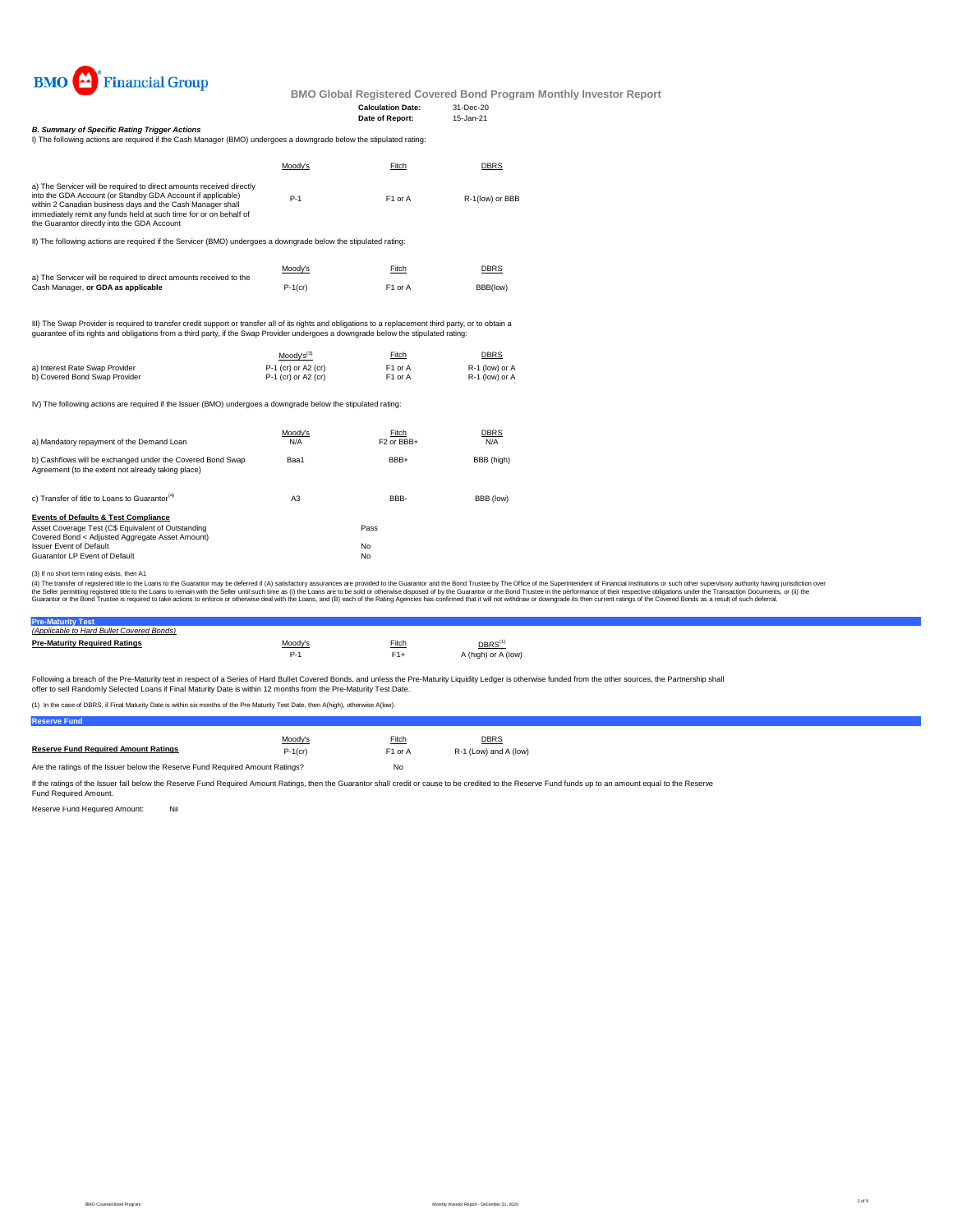

## **Date of Report:**

**Calculation Date:** 31-Dec-20<br> **Date of Report:** 15-Jan-21

I) The following actions are required if the Cash Manager (BMO) undergoes a downgrade below the stipulated rating: *B. Summary of Specific Rating Trigger Actions*

| 17 THU IVIIVINIIN QUUVII QUU IUMIIUM II UIU VQJITINGIQUUT IDINOT VIINU QUUJ QUVIIIVIQUU DUVII UIU JUDURQUU TQUIN                                                                                                                                                                                                      |         |                     |                 |  |  |
|-----------------------------------------------------------------------------------------------------------------------------------------------------------------------------------------------------------------------------------------------------------------------------------------------------------------------|---------|---------------------|-----------------|--|--|
|                                                                                                                                                                                                                                                                                                                       | Moody's | Fitch               | <b>DBRS</b>     |  |  |
| a) The Servicer will be required to direct amounts received directly<br>into the GDA Account (or Standby GDA Account if applicable)<br>within 2 Canadian business days and the Cash Manager shall<br>immediately remit any funds held at such time for or on behalf of<br>the Guarantor directly into the GDA Account | $P-1$   | F <sub>1</sub> or A | R-1(low) or BBB |  |  |
|                                                                                                                                                                                                                                                                                                                       |         |                     |                 |  |  |

II) The following actions are required if the Servicer (BMO) undergoes a downgrade below the stipulated rating:

| a) The Servicer will be required to direct amounts received to the | Moody's    | Fitch               | <b>DBRS</b> |
|--------------------------------------------------------------------|------------|---------------------|-------------|
| Cash Manager, or GDA as applicable                                 | $P-1$ (cr) | F <sub>1</sub> or A | BBB(low)    |

III) The Swap Provider is required to transfer credit support or transfer all of its rights and obligations to a replacement third party, or to obtain a<br>guarantee of its rights and obligations from a third party, if the Sw

|                                | $Mody's^{(3)}$        | Fitch               | <b>DBRS</b>    |
|--------------------------------|-----------------------|---------------------|----------------|
| a) Interest Rate Swap Provider | $P-1$ (cr) or A2 (cr) | F <sub>1</sub> or A | R-1 (low) or A |
| b) Covered Bond Swap Provider  | $P-1$ (cr) or A2 (cr) | F1 or A             | R-1 (low) or A |

IV) The following actions are required if the Issuer (BMO) undergoes a downgrade below the stipulated rating:

| a) Mandatory repayment of the Demand Loan                                                                        | Moody's<br>N/A | Fitch<br>F <sub>2</sub> or BB <sub>+</sub> | <b>DBRS</b><br>N/A |
|------------------------------------------------------------------------------------------------------------------|----------------|--------------------------------------------|--------------------|
| b) Cashflows will be exchanged under the Covered Bond Swap<br>Agreement (to the extent not already taking place) | Baa1           | BBB+                                       | BBB (high)         |
| c) Transfer of title to Loans to Guarantor <sup>(4)</sup>                                                        | A <sub>3</sub> | BBB-                                       | BBB (low)          |
| <b>Events of Defaults &amp; Test Compliance</b>                                                                  |                |                                            |                    |
| Asset Coverage Test (C\$ Equivalent of Outstanding<br>Covered Bond < Adjusted Aggregate Asset Amount)            |                | Pass                                       |                    |
| <b>Issuer Event of Default</b>                                                                                   |                | No                                         |                    |
| Guarantor LP Event of Default                                                                                    |                | No                                         |                    |

(3) If no short term rating exists, then A1

(4) The transfer of registered title to the Loans to the Guarantor may be deferred if (A) satisfactory assurances are provided to the Guarantor and the Bond Trustee by The Office of the Superintendent of Financial Institut

## **Pre-Maturity Test** *(Applicable to Hard Bullet Covered Bonds)*

| <b>Pre-Maturity Required Ratings</b> | Moodv's | Fitch | $DBRS^{(1)}$        |
|--------------------------------------|---------|-------|---------------------|
|                                      |         |       | A (high) or A (low) |
|                                      |         |       |                     |

Following a breach of the Pre-Maturity test in respect of a Series of Hard Bullet Covered Bonds, and unless the Pre-Maturity Liquidity Ledger is otherwise funded from the other sources, the Partnership shall offer to sell Randomly Selected Loans if Final Maturity Date is within 12 months from the Pre-Maturity Test Date.

(1) In the case of DBRS, if Final Maturity Date is within six months of the Pre-Maturity Test Date, then A(high), otherwise A(low).

**Reserve Fund**

|                                                                               | Moody's    | Fitch               | <b>DBRS</b>           |  |
|-------------------------------------------------------------------------------|------------|---------------------|-----------------------|--|
| <b>Reserve Fund Required Amount Ratings</b>                                   | $P-1$ (cr) | F <sub>1</sub> or A | R-1 (Low) and A (low) |  |
| Are the ratings of the Issuer below the Reserve Fund Required Amount Ratings? |            | No                  |                       |  |

If the ratings of the Issuer fall below the Reserve Fund Required Amount Ratings, then the Guarantor shall credit or cause to be credited to the Reserve Fund funds up to an amount equal to the Reserve<br>Fund Required Amount.

Reserve Fund Required Amount: Nil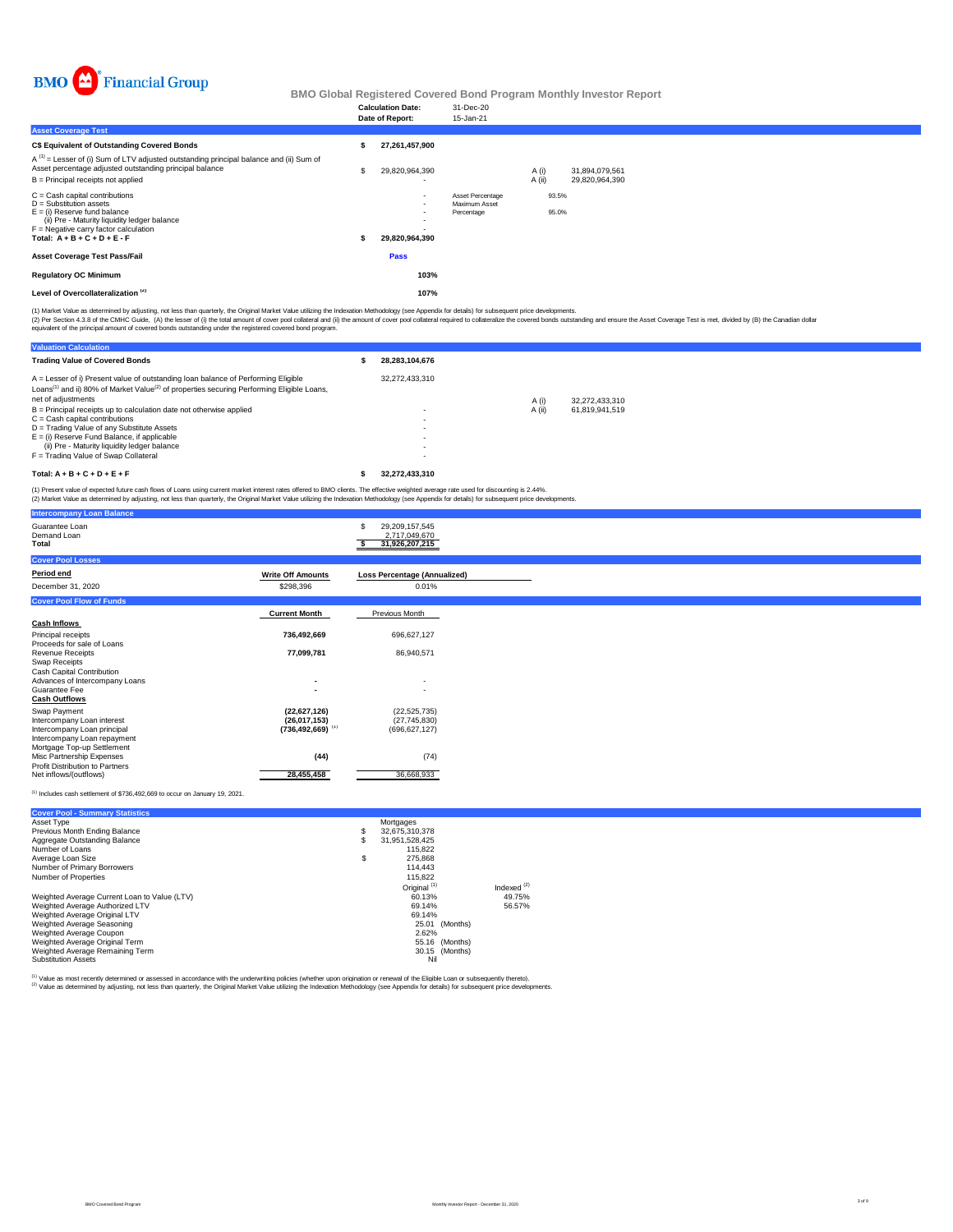

| <b>Asset Coverage Test</b>                                                                                                                                                                                                                         |   | <b>Calculation Date:</b><br>Date of Report:                            | 31-Dec-20<br>15-Jan-21                          |                 |                |                                  |  |
|----------------------------------------------------------------------------------------------------------------------------------------------------------------------------------------------------------------------------------------------------|---|------------------------------------------------------------------------|-------------------------------------------------|-----------------|----------------|----------------------------------|--|
| C\$ Equivalent of Outstanding Covered Bonds<br>A <sup>(1)</sup> = Lesser of (i) Sum of LTV adjusted outstanding principal balance and (ii) Sum of<br>Asset percentage adjusted outstanding principal balance<br>B = Principal receipts not applied | S | 27,261,457,900<br>29,820,964,390<br>$\overline{\phantom{0}}$           |                                                 | A (i)<br>A (ii) |                | 31,894,079,561<br>29,820,964,390 |  |
| C = Cash capital contributions<br>D = Substitution assets<br>E = (i) Reserve fund balance<br>(ii) Pre - Maturity liquidity ledger balance<br>F = Negative carry factor calculation<br>Total: $A + B + C + D + E - F$                               | ж | $\overline{\phantom{a}}$<br>$\overline{\phantom{0}}$<br>29,820,964,390 | Asset Percentage<br>Maximum Asset<br>Percentage |                 | 93.5%<br>95.0% |                                  |  |
| Asset Coverage Test Pass/Fail                                                                                                                                                                                                                      |   | Pass                                                                   |                                                 |                 |                |                                  |  |
| <b>Regulatory OC Minimum</b>                                                                                                                                                                                                                       |   | 103%                                                                   |                                                 |                 |                |                                  |  |
| Level of Overcollateralization <sup>(2)</sup>                                                                                                                                                                                                      |   | 107%                                                                   |                                                 |                 |                |                                  |  |
|                                                                                                                                                                                                                                                    |   |                                                                        |                                                 |                 |                |                                  |  |

(1) Market Value as determined by adjusting, not less than quarterly, the Original Market Value utilizing the Indexation Methodology (see Appendix for details) for subsequent price developments.

(2) Per Section 4.3.8 of the CMHC Guide, (A) the lesser of (i) the tatal anount of cover prod collateral of (ii) the amount of cover pool collateral required to collateralize the covered bonds custanding and ensure the Ass

| <b>Valuation Calculation</b>                                                                                                                                                                                                 |                |        |                |
|------------------------------------------------------------------------------------------------------------------------------------------------------------------------------------------------------------------------------|----------------|--------|----------------|
| <b>Trading Value of Covered Bonds</b>                                                                                                                                                                                        | 28.283.104.676 |        |                |
| A = Lesser of i) Present value of outstanding loan balance of Performing Eligible<br>Loans <sup>(1)</sup> and ii) 80% of Market Value <sup>(2)</sup> of properties securing Performing Eligible Loans.<br>net of adiustments | 32.272.433.310 | A (i)  | 32.272.433.310 |
| B = Principal receipts up to calculation date not otherwise applied                                                                                                                                                          |                | A (ii) | 61.819.941.519 |
| C = Cash capital contributions                                                                                                                                                                                               |                |        |                |
| D = Trading Value of any Substitute Assets                                                                                                                                                                                   |                |        |                |
| E = (i) Reserve Fund Balance, if applicable                                                                                                                                                                                  |                |        |                |
| (ii) Pre - Maturity liquidity ledger balance                                                                                                                                                                                 |                |        |                |
| F = Trading Value of Swap Collateral                                                                                                                                                                                         |                |        |                |
| $Total: A + B + C + D + E + F$                                                                                                                                                                                               | 32.272.433.310 |        |                |

(1) Present value of expected future cash flows of Loans using current market interest rates offered to BMO clients. The effective weighted average rate used for discounting is 2.44%.<br>(2) Market Value as determined by adju

| <b>Intercompany Loan Balance</b>                           |                                  |                                                      |
|------------------------------------------------------------|----------------------------------|------------------------------------------------------|
| Guarantee Loan<br>Demand Loan<br>Total                     |                                  | 29,209,157,545<br>2,717,049,670<br>31,926,207,215    |
| <b>Cover Pool Losses</b>                                   |                                  |                                                      |
| Period end                                                 | <b>Write Off Amounts</b>         | Loss Percentage (Annualized)                         |
| December 31, 2020                                          | \$298,396                        | 0.01%                                                |
| <b>Cover Pool Flow of Funds</b>                            |                                  |                                                      |
|                                                            | <b>Current Month</b>             | Previous Month                                       |
| <b>Cash Inflows</b>                                        |                                  |                                                      |
| Principal receipts                                         | 736,492,669                      | 696,627,127                                          |
| Proceeds for sale of Loans<br>Revenue Receipts             | 77,099,781                       | 86,940,571                                           |
| Swap Receipts                                              |                                  |                                                      |
| Cash Capital Contribution                                  |                                  |                                                      |
| Advances of Intercompany Loans<br>Guarantee Fee            |                                  | $\overline{\phantom{0}}$<br>$\overline{\phantom{a}}$ |
| <b>Cash Outflows</b>                                       |                                  |                                                      |
| Swap Payment                                               | (22,627,126)                     | (22, 525, 735)                                       |
| Intercompany Loan interest                                 | (26,017,153)                     | (27,745,830)                                         |
| Intercompany Loan principal<br>Intercompany Loan repayment | $(736, 492, 669)$ <sup>(1)</sup> | (696, 627, 127)                                      |
| Mortgage Top-up Settlement                                 |                                  |                                                      |
| Misc Partnership Expenses                                  | (44)                             | (74)                                                 |
| Profit Distribution to Partners<br>Net inflows/(outflows)  | 28,455,458                       | 36,668,933                                           |
|                                                            |                                  |                                                      |

#### $(1)$  Includes cash settlement of \$736,492,669 to occur on January 19, 2021.

**Cover Pool - Summary Statistics**

| Asset Type                                   |    | Mortgages               |                  |
|----------------------------------------------|----|-------------------------|------------------|
| Previous Month Ending Balance                | s  | 32.675.310.378          |                  |
| Aggregate Outstanding Balance                | S  | 31.951.528.425          |                  |
| Number of Loans                              |    | 115.822                 |                  |
| Average Loan Size                            | \$ | 275,868                 |                  |
| Number of Primary Borrowers                  |    | 114.443                 |                  |
| Number of Properties                         |    | 115.822                 |                  |
|                                              |    | Original <sup>(1)</sup> | Indexed $^{(2)}$ |
| Weighted Average Current Loan to Value (LTV) |    | 60.13%                  | 49.75%           |
| Weighted Average Authorized LTV              |    | 69.14%                  | 56.57%           |
| Weighted Average Original LTV                |    | 69.14%                  |                  |
| Weighted Average Seasoning                   |    | (Months)<br>25.01       |                  |
| Weighted Average Coupon                      |    | 2.62%                   |                  |
| Weighted Average Original Term               |    | 55.16<br>(Months)       |                  |
| Weighted Average Remaining Term              |    | 30.15 (Months)          |                  |
| <b>Substitution Assets</b>                   |    | Nil                     |                  |

<sup>(1)</sup> Value as most recently determined or assessed in accordance with the underwriting policies (whether upon origination or renewal of the Eligible Loan or subsequently thereto).<br><sup>(2)</sup> Value as determined by adjusting, n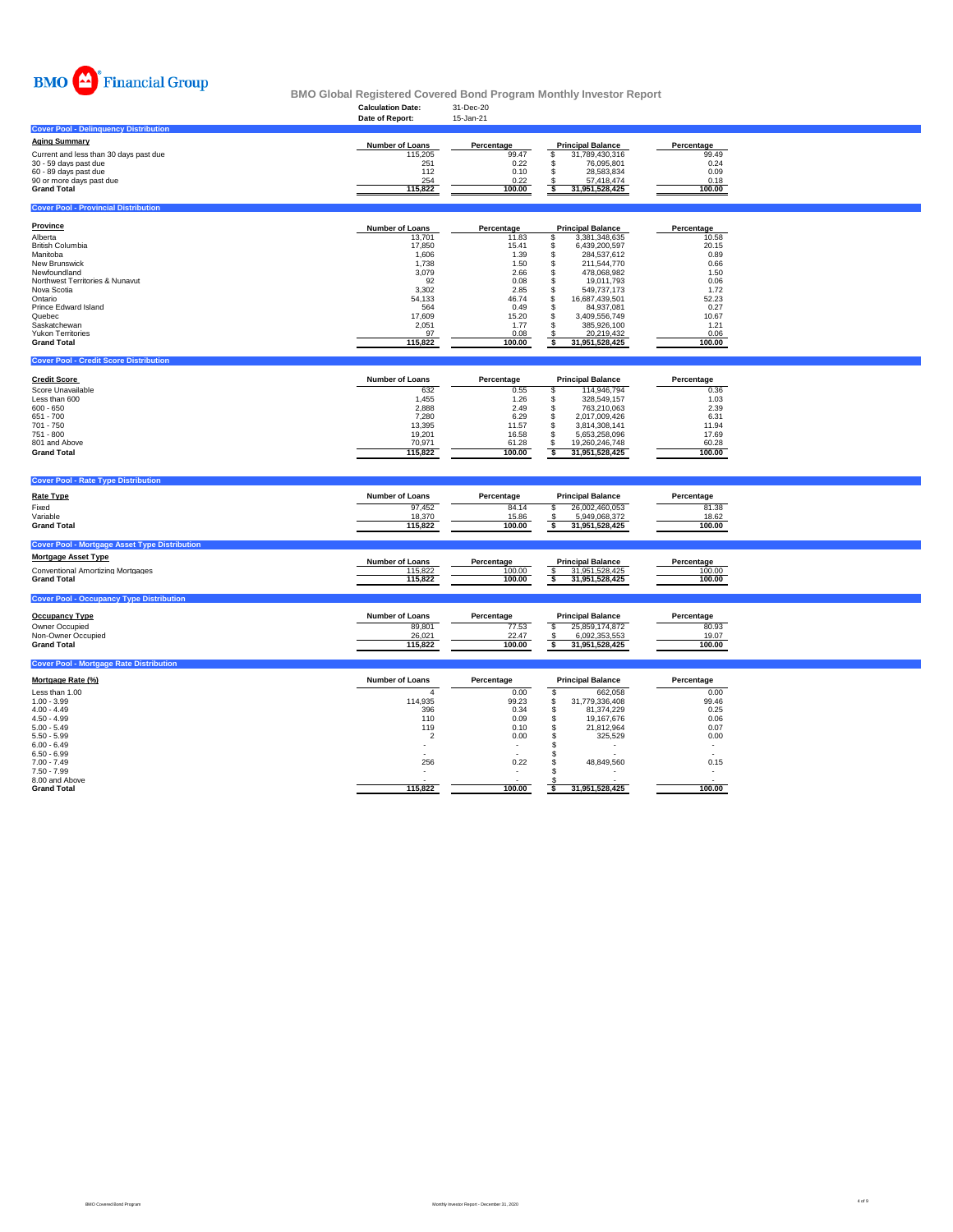

|                                                      |                          |                                  | <u>DMO QIODAI NEGISIEI EU GOVEIEU DONU FTOGRAIN MONUNY INVESIOR NEPORT</u> |                 |  |
|------------------------------------------------------|--------------------------|----------------------------------|----------------------------------------------------------------------------|-----------------|--|
|                                                      | <b>Calculation Date:</b> | 31-Dec-20                        |                                                                            |                 |  |
|                                                      | Date of Report:          | 15-Jan-21                        |                                                                            |                 |  |
| <b>Cover Pool - Delinguency Distribution</b>         |                          |                                  |                                                                            |                 |  |
|                                                      |                          |                                  |                                                                            |                 |  |
| <b>Aging Summary</b>                                 | Number of Loans          | Percentage                       | <b>Principal Balance</b>                                                   | Percentage      |  |
| Current and less than 30 days past due               | 115,205                  | 99.47                            | 31,789,430,316<br>£.                                                       | 99.49           |  |
| 30 - 59 days past due                                | 251                      | 0.22                             | 76,095,801<br>\$.                                                          | 0.24            |  |
| 60 - 89 days past due                                | 112                      | 0.10                             | 28,583,834<br>\$.                                                          | 0.09            |  |
| 90 or more days past due                             | 254                      | 0.22                             | 57,418,474                                                                 | 0.18            |  |
| <b>Grand Total</b>                                   | 115,822                  | 100.00                           | 31,951,528,425<br>ŝ                                                        | 100.00          |  |
|                                                      |                          |                                  |                                                                            |                 |  |
| <b>Cover Pool - Provincial Distribution</b>          |                          |                                  |                                                                            |                 |  |
|                                                      |                          |                                  |                                                                            |                 |  |
| Province                                             | Number of Loans          | Percentage                       | <b>Principal Balance</b>                                                   | Percentage      |  |
| Alberta                                              | 13,701                   | 11.83                            | 3,381,348,635<br>\$                                                        | 10.58           |  |
| <b>British Columbia</b>                              | 17,850                   | 15.41                            | \$<br>6,439,200,597                                                        | 20.15           |  |
| Manitoba                                             | 1,606                    | 1.39                             | 284,537,612<br>s                                                           | 0.89            |  |
| New Brunswick                                        | 1,738                    | 1.50                             | 211,544,770<br>s                                                           | 0.66            |  |
| Newfoundland                                         | 3,079                    | 2.66                             | 478,068,982<br>s                                                           | 1.50            |  |
| Northwest Territories & Nunavut                      | 92                       | 0.08                             | 19,011,793<br>\$                                                           | 0.06            |  |
| Nova Scotia                                          | 3,302                    | 2.85                             | 549,737,173<br>s                                                           | 1.72            |  |
| Ontario                                              | 54,133                   | 46.74                            | 16,687,439,501<br>\$                                                       | 52.23           |  |
| Prince Edward Island                                 | 564                      | 0.49                             | 84,937,081<br>S.                                                           | 0.27            |  |
| Quebec                                               | 17,609                   | 15.20                            | 3,409,556,749<br>S                                                         | 10.67           |  |
| Saskatchewan                                         | 2,051                    | 1.77                             | 385.926.100<br>S                                                           | 1.21            |  |
| Yukon Territories                                    | 97                       | 0.08                             | 20,219,432                                                                 | 0.06            |  |
| <b>Grand Total</b>                                   | 115,822                  | 100.00                           | 31,951,528,425<br>-S                                                       | 100.00          |  |
|                                                      |                          |                                  |                                                                            |                 |  |
| <b>Cover Pool - Credit Score Distribution</b>        |                          |                                  |                                                                            |                 |  |
|                                                      |                          |                                  |                                                                            |                 |  |
| <b>Credit Score</b>                                  | Number of Loans          | Percentage                       | <b>Principal Balance</b>                                                   | Percentage      |  |
| Score Unavailable                                    | 632                      | 0.55                             | 114,946,794<br>s                                                           | 0.36            |  |
| Less than 600                                        | 1,455                    | 1.26                             | 328,549,157<br>s                                                           | 1.03            |  |
| $600 - 650$                                          | 2,888                    | 2.49                             | s<br>763,210,063                                                           | 2.39            |  |
| $651 - 700$                                          | 7,280                    | 6.29                             | 2,017,009,426<br>\$                                                        | 6.31            |  |
| 701 - 750                                            | 13,395                   | 11.57                            | 3,814,308,141<br>\$.                                                       | 11.94           |  |
| 751 - 800                                            | 19,201                   | 16.58                            | \$<br>5,653,258,096                                                        | 17.69           |  |
| 801 and Above                                        | 70,971                   | 61.28                            | \$<br>19,260,246,748                                                       | 60.28           |  |
| <b>Grand Total</b>                                   | 115,822                  | 100.00                           | \$<br>31,951,528,425                                                       | 100.00          |  |
|                                                      |                          |                                  |                                                                            |                 |  |
|                                                      |                          |                                  |                                                                            |                 |  |
| <b>Cover Pool - Rate Type Distribution</b>           |                          |                                  |                                                                            |                 |  |
| <b>Rate Type</b>                                     | Number of Loans          | Percentage                       | <b>Principal Balance</b>                                                   | Percentage      |  |
|                                                      |                          |                                  |                                                                            |                 |  |
| Fixed                                                | 97,452                   | 84.14                            | 26,002,460,053<br><b>s</b>                                                 | 81.38           |  |
| Variable<br><b>Grand Total</b>                       | 18,370<br>115,822        | 15.86<br>100.00                  | 5,949,068,372<br>s<br>31,951,528,425                                       | 18.62<br>100.00 |  |
|                                                      |                          |                                  |                                                                            |                 |  |
|                                                      |                          |                                  |                                                                            |                 |  |
| <b>Cover Pool - Mortgage Asset Type Distribution</b> |                          |                                  |                                                                            |                 |  |
| <b>Mortgage Asset Type</b>                           | <b>Number of Loans</b>   | Percentage                       | <b>Principal Balance</b>                                                   | Percentage      |  |
| <b>Conventional Amortizing Mortgages</b>             | 115,822                  | 100.00                           | <sup>S</sup><br>31,951,528,425                                             | 100.00          |  |
| <b>Grand Total</b>                                   | 115,822                  | 100.00                           | 31,951,528,425<br>s                                                        | 100.00          |  |
|                                                      |                          |                                  |                                                                            |                 |  |
| <b>Cover Pool - Occupancy Type Distribution</b>      |                          |                                  |                                                                            |                 |  |
|                                                      |                          |                                  |                                                                            |                 |  |
| <b>Occupancy Type</b>                                | Number of Loans          | Percentage                       | <b>Principal Balance</b>                                                   | Percentage      |  |
| Owner Occupied                                       | 89,801                   | 77.53                            | 25,859,174,872<br>s                                                        | 80.93           |  |
| Non-Owner Occupied                                   | 26,021                   | 22.47                            | 6,092,353,553                                                              | 19.07           |  |
| <b>Grand Total</b>                                   | 115,822                  | 100.00                           | s<br>31,951,528,425                                                        | 100.00          |  |
|                                                      |                          |                                  |                                                                            |                 |  |
|                                                      |                          |                                  |                                                                            |                 |  |
|                                                      |                          |                                  |                                                                            |                 |  |
| <b>Cover Pool - Mortgage Rate Distribution</b>       |                          |                                  |                                                                            |                 |  |
| Mortgage Rate (%)                                    | <b>Number of Loans</b>   | Percentage                       | <b>Principal Balance</b>                                                   | Percentage      |  |
|                                                      | $\Delta$                 |                                  |                                                                            |                 |  |
| Less than 1.00                                       |                          | 0.00                             | <b>S</b><br>662,058                                                        | 0.00            |  |
| $1.00 - 3.99$                                        | 114,935                  | 99.23                            | 31,779,336,408<br><b>s</b>                                                 | 99.46           |  |
| $4.00 - 4.49$                                        | 396<br>110               | 0.34                             | \$<br>81,374,229                                                           | 0.25            |  |
| $4.50 - 4.99$<br>$5.00 - 5.49$                       | 119                      | 0.09<br>0.10                     | \$<br>19,167,676<br>\$<br>21,812,964                                       | 0.06<br>0.07    |  |
|                                                      | $\overline{2}$           |                                  |                                                                            |                 |  |
| $5.50 - 5.99$<br>$6.00 - 6.49$                       |                          | 0.00<br>$\overline{\phantom{a}}$ | \$<br>325,529<br>S.                                                        | 0.00<br>$\sim$  |  |
| $6.50 - 6.99$                                        |                          |                                  | s                                                                          |                 |  |
| $7.00 - 7.49$                                        | 256                      | 0.22                             | 48,849,560<br>\$                                                           | 0.15            |  |
| $7.50 - 7.99$                                        |                          |                                  | s                                                                          |                 |  |
| 8.00 and Above<br><b>Grand Total</b>                 | 115,822                  | 100.00                           | 31,951,528,425<br>\$                                                       | 100.00          |  |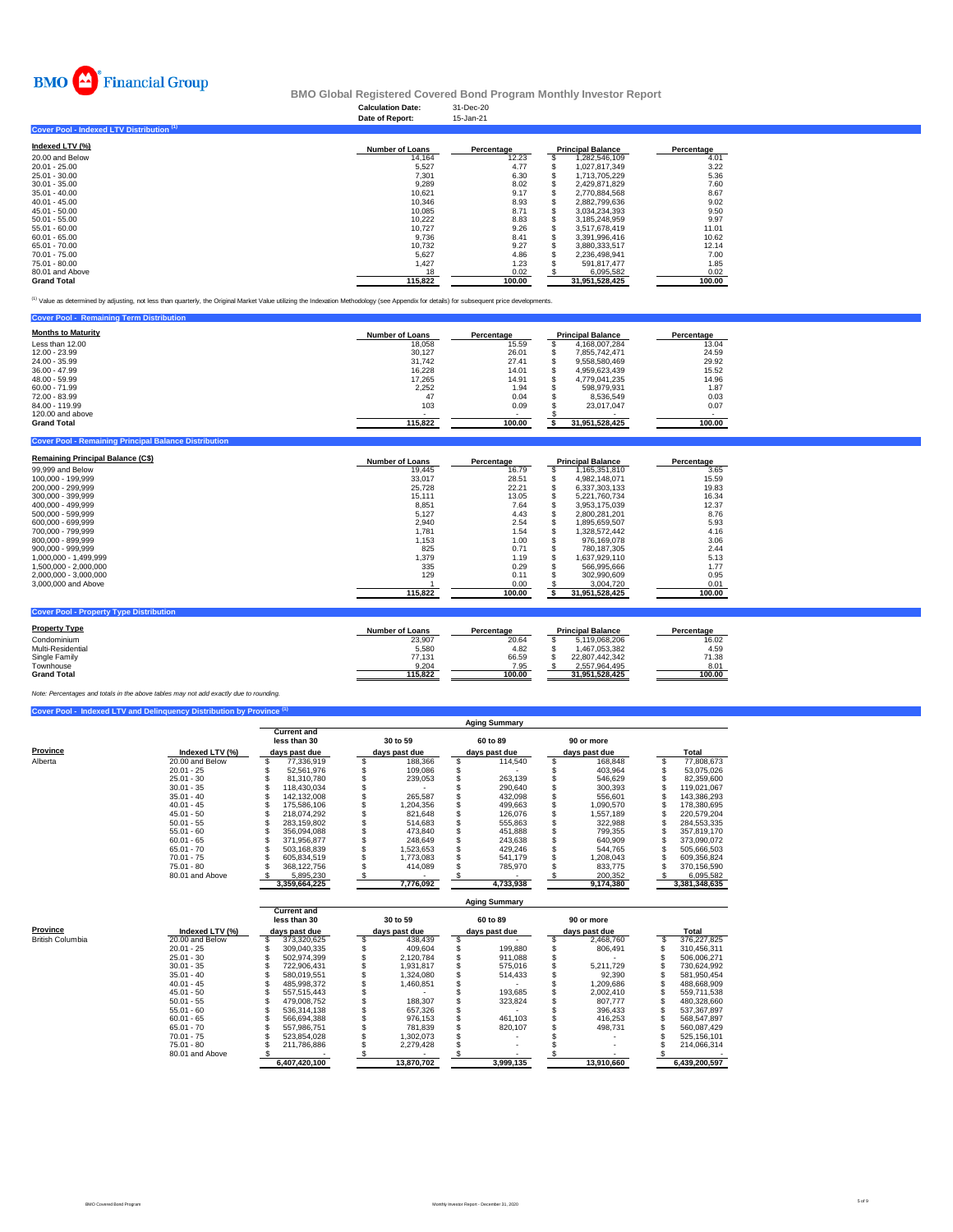

#### **Calculation Date:** 31-Dec-20 **BMO Global Registered Covered Bond Program Monthly Investor Report**

|                                           | Date of Report:        | 15-Jan-21  |                          |            |
|-------------------------------------------|------------------------|------------|--------------------------|------------|
| Cover Pool - Indexed LTV Distribution (1) |                        |            |                          |            |
| Indexed LTV (%)                           | <b>Number of Loans</b> | Percentage | <b>Principal Balance</b> | Percentage |
| 20,00 and Below                           | 14.164                 | 12.23      | 1,282,546,109            | 4.01       |
| $20.01 - 25.00$                           | 5,527                  | 4.77       | 1.027.817.349            | 3.22       |
| 25.01 - 30.00                             | 7,301                  | 6.30       | 1.713.705.229            | 5.36       |
| $30.01 - 35.00$                           | 9.289                  | 8.02       | 2.429.871.829            | 7.60       |
| $35.01 - 40.00$                           | 10.621                 | 9.17       | 2.770.884.568            | 8.67       |
| $40.01 - 45.00$                           | 10.346                 | 8.93       | 2.882.799.636            | 9.02       |
| $45.01 - 50.00$                           | 10.085                 | 8.71       | 3.034.234.393            | 9.50       |
| $50.01 - 55.00$                           | 10,222                 | 8.83       | 3.185.248.959            | 9.97       |
| $55.01 - 60.00$                           | 10.727                 | 9.26       | 3.517.678.419            | 11.01      |
| $60.01 - 65.00$                           | 9,736                  | 8.41       | 3,391,996,416            | 10.62      |
| 65.01 - 70.00                             | 10.732                 | 9.27       | 3.880.333.517            | 12.14      |
| 70.01 - 75.00                             | 5,627                  | 4.86       | 2,236,498,941            | 7.00       |
| 75.01 - 80.00                             | 1,427                  | 1.23       | 591,817,477              | 1.85       |
| 80.01 and Above                           | 18                     | 0.02       | 6,095,582                | 0.02       |
| <b>Grand Total</b>                        | 115.822                | 100.00     | 31,951,528,425           | 100.00     |

(1) Value as determined by adjusting, not less than quarterly, the Original Market Value utilizing the Indexation Methodology (see Appendix for details) for subsequent price developments.

| <b>Cover Pool - Remaining Term Distribution</b> |                          |            |                          |            |
|-------------------------------------------------|--------------------------|------------|--------------------------|------------|
| <b>Months to Maturity</b>                       | <b>Number of Loans</b>   | Percentage | <b>Principal Balance</b> | Percentage |
| Less than 12.00                                 | 18.058                   | 15.59      | 4.168.007.284            | 13.04      |
| 12.00 - 23.99                                   | 30.127                   | 26.01      | 7.855.742.471            | 24.59      |
| 24.00 - 35.99                                   | 31.742                   | 27.41      | 9.558.580.469            | 29.92      |
| $36.00 - 47.99$                                 | 16.228                   | 14.01      | 4.959.623.439            | 15.52      |
| 48.00 - 59.99                                   | 17.265                   | 14.91      | 4.779.041.235            | 14.96      |
| $60.00 - 71.99$                                 | 2.252                    | 1.94       | 598.979.931              | 1.87       |
| 72.00 - 83.99                                   | 47                       | 0.04       | 8.536.549                | 0.03       |
| 84.00 - 119.99                                  | 103                      | 0.09       | 23.017.047               | 0.07       |
| 120,00 and above                                | $\overline{\phantom{0}}$ |            |                          |            |
| <b>Grand Total</b>                              | 115.822                  | 100.00     | 31.951.528.425           | 100.00     |

#### **Combin - Remaining Principal Balance Distribution**

| <b>Remaining Principal Balance (C\$)</b> | <b>Number of Loans</b> | Percentage |    | <b>Principal Balance</b> | Percentage |
|------------------------------------------|------------------------|------------|----|--------------------------|------------|
| 99,999 and Below                         | 19.445                 | 16.79      | ъ  | 1.165.351.810            | 3.65       |
| 100.000 - 199.999                        | 33,017                 | 28.51      | S  | 4.982.148.071            | 15.59      |
| 200.000 - 299.999                        | 25.728                 | 22.21      |    | 6.337.303.133            | 19.83      |
| 300,000 - 399,999                        | 15.111                 | 13.05      |    | 5.221.760.734            | 16.34      |
| 400.000 - 499.999                        | 8.851                  | 7.64       | э  | 3.953.175.039            | 12.37      |
| 500.000 - 599.999                        | 5.127                  | 4.43       | S. | 2.800.281.201            | 8.76       |
| 600.000 - 699.999                        | 2.940                  | 2.54       |    | 1.895.659.507            | 5.93       |
| 700.000 - 799.999                        | 1.781                  | 1.54       |    | 1.328.572.442            | 4.16       |
| 800.000 - 899.999                        | 1,153                  | 1.00       |    | 976.169.078              | 3.06       |
| $900.000 - 999.999$                      | 825                    | 0.71       |    | 780.187.305              | 2.44       |
| 1.000.000 - 1.499.999                    | 1.379                  | 1.19       |    | 1.637.929.110            | 5.13       |
| 1.500.000 - 2.000.000                    | 335                    | 0.29       |    | 566.995.666              | 1.77       |
| 2.000.000 - 3.000.000                    | 129                    | 0.11       |    | 302.990.609              | 0.95       |
| 3,000,000 and Above                      |                        | 0.00       |    | 3.004.720                | 0.01       |
|                                          | 115.822                | 100.00     |    | 31.951.528.425           | 100.00     |

| <b>Cover Pool - Property Type Distribution</b> |                 |            |                          |            |
|------------------------------------------------|-----------------|------------|--------------------------|------------|
| <b>Property Type</b>                           | Number of Loans | Percentage | <b>Principal Balance</b> | Percentage |
| Condominium                                    | 23,907          | 20.64      | 5.119.068.206            | 16.02      |
| Multi-Residential                              | 5.580           | 4.82       | 1.467.053.382            | 4.59       |
| Single Family                                  | 77.131          | 66.59      | 22.807.442.342           | 71.38      |
| Townhouse                                      | 9.204           | 7.95       | 2.557.964.495            | 8.01       |
| <b>Grand Total</b>                             | 115.822         | 100.00     | 31.951.528.425           | 100.00     |

## *Note: Percentages and totals in the above tables may not add exactly due to rounding.*

|          | Cover Pool - Indexed LTV and Delinquency Distribution by Province <sup>(1)</sup> |                                    |               |                      |               |               |
|----------|----------------------------------------------------------------------------------|------------------------------------|---------------|----------------------|---------------|---------------|
|          |                                                                                  |                                    |               | <b>Aging Summary</b> |               |               |
|          |                                                                                  | <b>Current and</b><br>less than 30 | 30 to 59      | 60 to 89             | 90 or more    |               |
| Province | Indexed LTV (%)                                                                  | days past due                      | days past due | days past due        | days past due | Total         |
| Alberta  | 20.00 and Below                                                                  | 77.336.919                         | 188.366       | 114.540              | 168,848       | 77,808,673    |
|          | $20.01 - 25$                                                                     | 52.561.976                         | 109,086       |                      | 403.964       | 53,075,026    |
|          | $25.01 - 30$                                                                     | 81.310.780                         | 239.053       | 263.139              | 546.629       | 82.359.600    |
|          | $30.01 - 35$                                                                     | 118.430.034                        |               | 290,640              | 300.393       | 119,021,067   |
|          | $35.01 - 40$                                                                     | 142.132.008                        | 265.587       | 432.098              | 556.601       | 143.386.293   |
|          | $40.01 - 45$                                                                     | 175.586.106                        | 1.204.356     | 499.663              | 1.090.570     | 178.380.695   |
|          | $45.01 - 50$                                                                     | 218.074.292                        | 821.648       | 126.076              | 1.557.189     | 220.579.204   |
|          | $50.01 - 55$                                                                     | 283.159.802                        | 514,683       | 555.863              | 322.988       | 284.553.335   |
|          | $55.01 - 60$                                                                     | 356.094.088                        | 473.840       | 451.888              | 799.355       | 357.819.170   |
|          | $60.01 - 65$                                                                     | 371.956.877                        | 248.649       | 243.638              | 640.909       | 373,090,072   |
|          | $65.01 - 70$                                                                     | 503.168.839                        | 1,523,653     | 429.246              | 544.765       | 505.666.503   |
|          | $70.01 - 75$                                                                     | 605.834.519                        | 1.773.083     | 541.179              | 1.208.043     | 609.356.824   |
|          | $75.01 - 80$                                                                     | 368.122.756                        | 414.089       | 785.970              | 833.775       | 370.156.590   |
|          | 80.01 and Above                                                                  | 5.895.230                          |               |                      | 200.352       | 6.095.582     |
|          |                                                                                  | 3,359,664,225                      | 7,776,092     | 4,733,938            | 9,174,380     | 3,381,348,635 |

|                  |                 | <b>Aging Summary</b>               |  |               |  |               |  |               |  |               |
|------------------|-----------------|------------------------------------|--|---------------|--|---------------|--|---------------|--|---------------|
|                  |                 | <b>Current and</b><br>less than 30 |  | 30 to 59      |  | 60 to 89      |  | 90 or more    |  |               |
| Province         | Indexed LTV (%) | days past due                      |  | days past due |  | days past due |  | days past due |  | Total         |
| British Columbia | 20.00 and Below | 373.320.625                        |  | 438.439       |  |               |  | 2.468.760     |  | 376.227.825   |
|                  | $20.01 - 25$    | 309.040.335                        |  | 409.604       |  | 199.880       |  | 806.491       |  | 310.456.311   |
|                  | $25.01 - 30$    | 502.974.399                        |  | 2.120.784     |  | 911.088       |  |               |  | 506.006.271   |
|                  | $30.01 - 35$    | 722.906.431                        |  | 1.931.817     |  | 575.016       |  | 5.211.729     |  | 730.624.992   |
|                  | $35.01 - 40$    | 580.019.551                        |  | 1,324,080     |  | 514,433       |  | 92.390        |  | 581,950,454   |
|                  | $40.01 - 45$    | 485.998.372                        |  | 1.460.851     |  |               |  | 1.209.686     |  | 488.668.909   |
|                  | $45.01 - 50$    | 557.515.443                        |  |               |  | 193.685       |  | 2.002.410     |  | 559.711.538   |
|                  | $50.01 - 55$    | 479,008,752                        |  | 188,307       |  | 323.824       |  | 807.777       |  | 480.328.660   |
|                  | $55.01 - 60$    | 536.314.138                        |  | 657.326       |  |               |  | 396.433       |  | 537.367.897   |
|                  | $60.01 - 65$    | 566.694.388                        |  | 976,153       |  | 461.103       |  | 416.253       |  | 568.547.897   |
|                  | $65.01 - 70$    | 557.986.751                        |  | 781.839       |  | 820.107       |  | 498.731       |  | 560.087.429   |
|                  | $70.01 - 75$    | 523.854.028                        |  | 1.302.073     |  |               |  |               |  | 525.156.101   |
|                  | $75.01 - 80$    | 211.786.886                        |  | 2.279.428     |  |               |  |               |  | 214.066.314   |
|                  | 80.01 and Above |                                    |  |               |  |               |  |               |  |               |
|                  |                 | 6,407,420,100                      |  | 13.870.702    |  | 3.999.135     |  | 13.910.660    |  | 6.439.200.597 |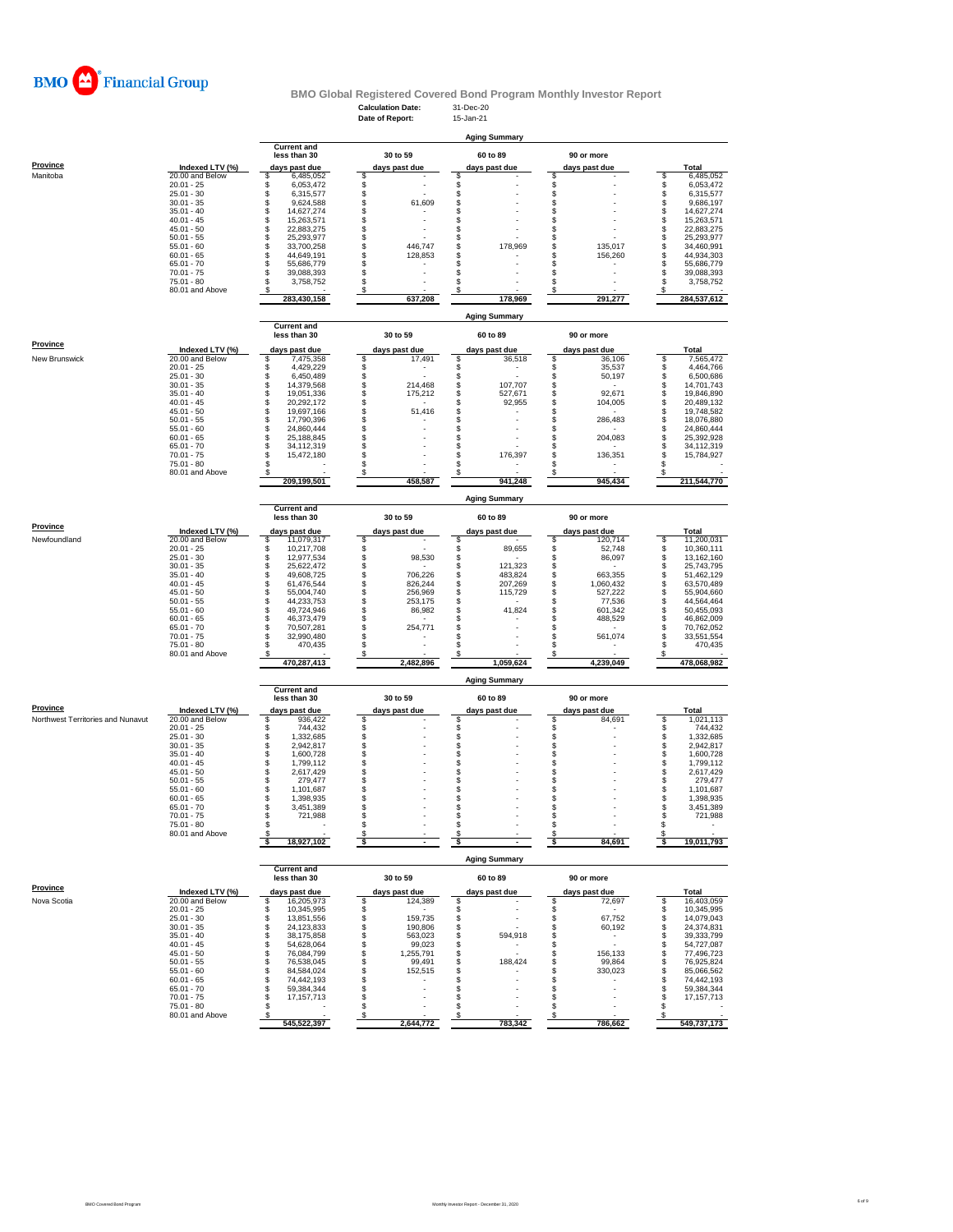

### **Calculation Date:** 31-Dec-20 **BMO Global Registered Covered Bond Program Monthly Investor Report**

|                                   |                                 |                                      | Date of Report:                      | 15-Jan-21                      |                                  |                                      |
|-----------------------------------|---------------------------------|--------------------------------------|--------------------------------------|--------------------------------|----------------------------------|--------------------------------------|
|                                   |                                 |                                      |                                      | <b>Aging Summary</b>           |                                  |                                      |
|                                   |                                 | <b>Current and</b>                   |                                      |                                |                                  |                                      |
|                                   |                                 | less than 30                         | 30 to 59                             | 60 to 89                       | 90 or more                       |                                      |
| Province                          | Indexed LTV (%)                 | days past due                        | days past due                        | days past due                  | days past due                    | Total                                |
| Manitoba                          | 20.00 and Below                 | \$<br>6,485,052                      | \$                                   | S                              | s                                | 6,485,052<br>S                       |
|                                   | $20.01 - 25$<br>$25.01 - 30$    | \$<br>6,053,472<br>\$<br>6,315,577   | \$<br>\$                             | \$<br>\$                       | \$<br>\$                         | \$<br>6,053,472<br>\$<br>6.315.577   |
|                                   | $30.01 - 35$                    | \$<br>9,624,588                      | \$<br>61,609                         | \$                             | \$                               | \$<br>9,686,197                      |
|                                   | $35.01 - 40$                    | \$<br>14,627,274                     | \$                                   | \$                             | \$                               | \$<br>14,627,274                     |
|                                   | $40.01 - 45$<br>$45.01 - 50$    | \$<br>15,263,571                     | \$<br>\$                             | S<br>S                         | \$                               | \$<br>15,263,571                     |
|                                   | $50.01 - 55$                    | s<br>S<br>22,883,275<br>25,293,977   | \$                                   | \$                             | \$<br>s                          | \$<br>22,883,275<br>\$<br>25,293,977 |
|                                   | $55.01 - 60$                    | \$<br>33,700,258                     | \$<br>446,747                        | \$<br>178,969                  | \$<br>135,017                    | \$<br>34,460,991                     |
|                                   | $60.01 - 65$                    | \$<br>44,649,191                     | \$<br>128,853                        | \$                             | \$<br>156,260                    | \$<br>44,934,303                     |
|                                   | $65.01 - 70$                    | \$<br>55,686,779<br>\$               | \$<br>$\overline{a}$                 | S                              | \$                               | \$<br>55,686,779                     |
|                                   | $70.01 - 75$<br>75.01 - 80      | 39,088,393<br>\$<br>3,758,752        | \$<br>\$<br>$\overline{\phantom{a}}$ | \$<br>S                        | \$<br>s                          | \$<br>39,088,393<br>\$<br>3,758,752  |
|                                   | 80.01 and Above                 | s                                    | \$                                   | \$                             | \$                               | s                                    |
|                                   |                                 | 283,430,158                          | 637,208                              | 178,969                        | 291,277                          | 284,537,612                          |
|                                   |                                 |                                      |                                      | <b>Aging Summary</b>           |                                  |                                      |
|                                   |                                 | <b>Current and</b>                   |                                      |                                |                                  |                                      |
|                                   |                                 | less than 30                         | 30 to 59                             | 60 to 89                       | 90 or more                       |                                      |
| <b>Province</b>                   | Indexed LTV (%)                 |                                      |                                      |                                |                                  | Total                                |
| New Brunswick                     | 20.00 and Below                 | days past due<br>\$<br>7,475,358     | days past due<br>\$<br>17,491        | days past due<br>\$<br>36,518  | days past due<br>\$<br>36,106    | \$<br>7,565,472                      |
|                                   | $20.01 - 25$                    | \$<br>4,429,229                      | \$                                   | \$<br>$\overline{\phantom{a}}$ | \$<br>35,537                     | \$<br>4,464,766                      |
|                                   | $25.01 - 30$                    | \$<br>6,450,489                      | \$                                   | \$                             | \$<br>50,197                     | \$<br>6,500,686                      |
|                                   | $30.01 - 35$                    | \$<br>14,379,568<br>\$               | \$<br>214,468                        | \$<br>107,707                  | \$                               | \$<br>14,701,743                     |
|                                   | $35.01 - 40$<br>$40.01 - 45$    | 19,051,336<br>\$<br>20,292,172       | \$<br>175,212<br>\$                  | \$<br>527,671<br>\$<br>92,955  | \$<br>92,671<br>\$<br>104,005    | \$<br>19,846,890<br>\$<br>20,489,132 |
|                                   | $45.01 - 50$                    | \$<br>19,697,166                     | \$<br>51,416                         | \$                             | \$                               | \$<br>19,748,582                     |
|                                   | $50.01 - 55$                    | \$<br>17.790.396                     | \$                                   | S                              | \$<br>286,483                    | \$<br>18,076,880                     |
|                                   | $55.01 - 60$<br>$60.01 - 65$    | \$<br>24,860,444<br>\$<br>25,188,845 | \$<br>\$                             | \$<br>\$                       | \$<br>\$<br>204,083              | \$<br>24,860,444<br>\$<br>25,392,928 |
|                                   | $65.01 - 70$                    | \$<br>34,112,319                     | \$                                   | \$                             | \$                               | \$<br>34,112,319                     |
|                                   | $70.01 - 75$                    | S<br>15,472,180                      | \$                                   | S<br>176,397                   | s<br>136,351                     | Ŝ<br>15,784,927                      |
|                                   | 75.01 - 80                      |                                      | \$                                   |                                | s                                | S                                    |
|                                   | 80.01 and Above                 | 209.199.501                          | S<br>458,587                         | 941,248                        | 945,434                          | S<br>211,544,770                     |
|                                   |                                 |                                      |                                      |                                |                                  |                                      |
|                                   |                                 |                                      |                                      | Aging Summary                  |                                  |                                      |
|                                   |                                 | <b>Current and</b>                   |                                      |                                |                                  |                                      |
|                                   |                                 | less than 30                         | 30 to 59                             | 60 to 89                       | 90 or more                       |                                      |
| <b>Province</b>                   | Indexed LTV (%)                 | days past due                        | days past due                        | days past due                  | days past due                    | Total                                |
| Newfoundland                      | 20.00 and Below<br>$20.01 - 25$ | \$<br>11,079,317<br>s                | \$<br>\$                             | S<br>\$                        | 120,714<br>\$<br>s<br>52,748     | 11,200,031<br>s<br>\$<br>10.360.111  |
|                                   | $25.01 - 30$                    | 10,217,708<br>\$<br>12,977,534       | \$<br>98,530                         | 89,655<br>\$                   | \$<br>86,097                     | \$<br>13,162,160                     |
|                                   | $30.01 - 35$                    | \$<br>25,622,472                     | \$                                   | 121,323<br>\$                  | \$                               | \$<br>25,743,795                     |
|                                   | $35.01 - 40$                    | \$<br>49,608,725                     | \$<br>706,226                        | \$<br>483,824                  | \$<br>663,355                    | \$<br>51,462,129                     |
|                                   | $40.01 - 45$<br>$45.01 - 50$    | \$<br>61,476,544<br>\$<br>55,004,740 | \$<br>826,244<br>\$<br>256,969       | \$<br>207,269<br>\$            | \$<br>1,060,432<br>\$<br>527,222 | \$<br>63,570,489<br>55,904,660       |
|                                   | $50.01 - 55$                    | \$<br>44,233,753                     | \$<br>253,175                        | 115,729<br>\$                  | \$<br>77,536                     | \$<br>\$<br>44,564,464               |
|                                   | $55.01 - 60$                    | \$<br>49,724,946                     | \$<br>86,982                         | \$<br>41,824                   | \$<br>601,342                    | \$<br>50,455,093                     |
|                                   | $60.01 - 65$                    | \$<br>46,373,479                     | \$                                   | \$                             | \$<br>488,529                    | \$<br>46,862,009                     |
|                                   | $65.01 - 70$                    | \$<br>70,507,281<br>\$               | \$<br>254,771                        | S<br>S                         | s                                | \$<br>70,762,052<br>\$               |
|                                   | $70.01 - 75$<br>75.01 - 80      | 32,990,480<br>S<br>470,435           | \$<br>S                              | S                              | \$<br>561,074<br>s               | 33,551,554<br>\$<br>470,435          |
|                                   | 80.01 and Above                 |                                      | \$                                   |                                | s                                | s                                    |
|                                   |                                 | 470,287,413                          | 2,482,896                            | 1,059,624                      | 4,239,049                        | 478,068,982                          |
|                                   |                                 |                                      |                                      | <b>Aging Summary</b>           |                                  |                                      |
|                                   |                                 | <b>Current and</b>                   |                                      |                                |                                  |                                      |
|                                   |                                 | less than 30                         | 30 to 59                             | 60 to 89                       | 90 or more                       |                                      |
| <b>Province</b>                   | Indexed LTV (%)                 | days past due                        | <u>days past due</u>                 | days past due                  | days past due                    | Total                                |
| Northwest Territories and Nunavut | 20.00 and Below                 | \$<br>936,422                        | \$                                   | S                              | \$<br>84,691                     | 1,021,113<br>\$                      |
|                                   | $20.01 - 25$                    | 744,432<br>\$                        | \$                                   | \$                             | \$<br>\$                         | \$<br>744,432                        |
|                                   | $25.01 - 30$<br>$30.01 - 35$    | \$<br>1,332,685<br>\$<br>2,942,817   | \$<br>\$                             | \$<br>\$                       | \$                               | 1,332,685<br>\$<br>2,942,817         |
|                                   | $35.01 - 40$                    | \$<br>1,600,728                      | \$                                   | \$                             | S                                | \$<br>1,600,728                      |
|                                   | $40.01 - 45$                    | \$<br>1,799,112                      | \$                                   | \$                             | \$                               | \$<br>1,799,112                      |
|                                   | $45.01 - 50$                    | \$<br>2,617,429<br>\$                | \$                                   | \$                             | \$                               | \$<br>2,617,429<br>\$                |
|                                   | $50.01 - 55$<br>$55.01 - 60$    | 279,477<br>\$<br>1,101,687           | \$<br>\$                             | \$<br>S                        | \$<br>\$                         | 279,477<br>\$<br>1,101,687           |
|                                   | $60.01 - 65$                    | \$<br>1.398.935                      | \$                                   | S                              | S                                | \$<br>1,398,935                      |
|                                   | $65.01 - 70$                    | S<br>3,451,389                       | \$                                   | S                              | s                                | S<br>3,451,389                       |
|                                   | $70.01 - 75$                    | 721,988                              |                                      | \$                             |                                  | 721,988<br>٠                         |
|                                   | 75.01 - 80<br>80.01 and Above   | \$<br>s                              | \$<br>\$                             | S                              | \$<br>s                          | \$<br>\$                             |
|                                   |                                 | 18,927,102                           | \$                                   | \$                             | 84,691<br>\$                     | ॱऽ<br>19,011,793                     |
|                                   |                                 |                                      |                                      |                                |                                  |                                      |
|                                   |                                 |                                      |                                      | <b>Aging Summary</b>           |                                  |                                      |
|                                   |                                 | <b>Current and</b><br>less than 30   | 30 to 59                             | 60 to 89                       | 90 or more                       |                                      |
| Province                          | Indexed LTV (%)                 |                                      |                                      |                                |                                  |                                      |
| Nova Scotia                       | 20.00 and Below                 | days past due<br>16,205,973<br>\$    | days past due<br>\$<br>124,389       | days past due<br>S             | days past due<br>\$<br>72,697    | Total<br>\$<br>16,403,059            |
|                                   | $20.01 - 25$                    | \$<br>10,345,995                     | \$                                   | \$                             | \$                               | \$<br>10,345,995                     |
|                                   | $25.01 - 30$                    | 13,851,556<br>\$                     | \$<br>159,735                        | \$<br>$\overline{a}$           | \$<br>67,752                     | \$<br>14,079,043                     |
|                                   | $30.01 - 35$<br>$35.01 - 40$    | \$<br>24,123,833<br>\$<br>38,175,858 | \$<br>190,806<br>\$<br>563,023       | \$<br>594,918<br>\$            | \$<br>60,192<br>s                | \$<br>24,374,831<br>\$<br>39,333,799 |
|                                   | $40.01 - 45$                    | \$<br>54,628,064                     | \$<br>99,023                         | \$                             | $\overline{\phantom{a}}$<br>\$   | 54,727,087<br>\$                     |
|                                   | $45.01 - 50$                    | \$<br>76,084,799                     | \$<br>1,255,791                      | \$<br>$\sim$                   | 156,133<br>\$                    | \$<br>77,496,723                     |
|                                   | $50.01 - 55$                    | \$<br>76,538,045                     | 99,491<br>\$                         | 188,424<br>\$                  | 99,864<br>\$                     | \$<br>76,925,824                     |
|                                   | $55.01 - 60$<br>$60.01 - 65$    | \$<br>84,584,024<br>\$<br>74,442,193 | 152,515<br>\$<br>\$                  | S<br>S                         | 330,023<br>\$<br>\$              | \$<br>85,066,562<br>\$<br>74,442,193 |
|                                   | $65.01 - 70$                    | \$<br>59,384,344                     | \$                                   | \$                             | \$                               | \$<br>59,384,344                     |
|                                   | $70.01 - 75$                    | \$<br>17, 157, 713                   | \$                                   | \$                             | \$                               | \$<br>17,157,713                     |
|                                   | $75.01 - 80$                    | \$                                   | \$                                   | \$                             | \$                               | \$                                   |
|                                   | 80.01 and Above                 | s<br>545,522,397                     | \$<br>2,644,772                      | \$<br>783,342                  | s<br>786,662                     | S<br>549,737,173                     |
|                                   |                                 |                                      |                                      |                                |                                  |                                      |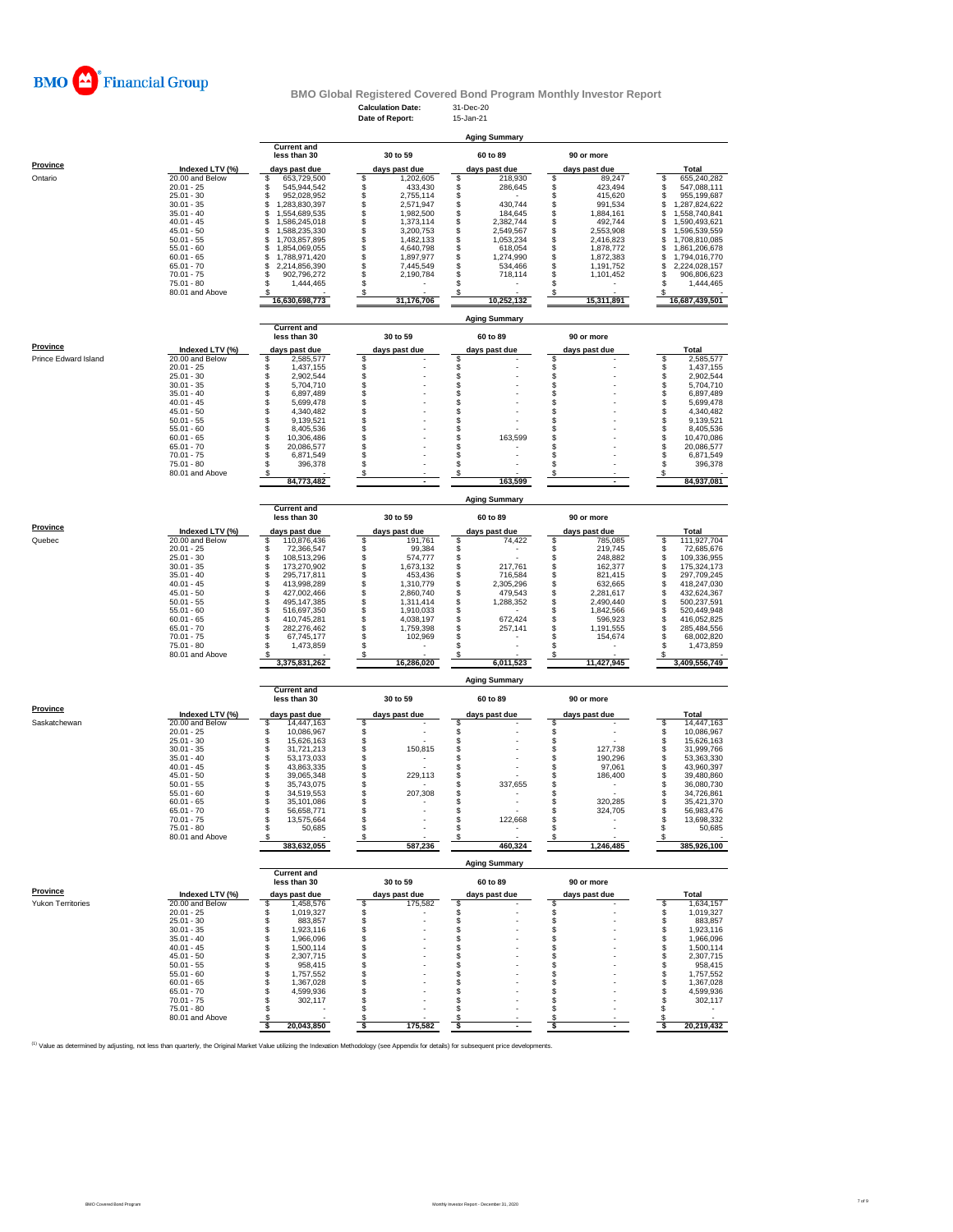

|                      |                                    |                                            | <b>Calculation Date:</b><br>Date of Report: | 31-Dec-20<br>15-Jan-21           |                                    |                                            |
|----------------------|------------------------------------|--------------------------------------------|---------------------------------------------|----------------------------------|------------------------------------|--------------------------------------------|
|                      |                                    |                                            |                                             |                                  |                                    |                                            |
|                      |                                    | <b>Current and</b>                         |                                             | <b>Aging Summary</b>             |                                    |                                            |
|                      |                                    | less than 30                               | 30 to 59                                    | 60 to 89                         | 90 or more                         |                                            |
| <b>Province</b>      | Indexed LTV (%)                    | days past due                              | days past due                               | days past due                    | days past due                      | <b>Total</b>                               |
| Ontario              | 20.00 and Below<br>$20.01 - 25$    | 653,729,500<br>\$<br>\$<br>545,944,542     | \$<br>1,202,605<br>\$<br>433,430            | \$<br>218,930<br>286,645         | 89,247<br>\$<br>423,494<br>\$      | \$<br>655,240,282<br>547,088,111<br>\$     |
|                      | $25.01 - 30$                       | \$<br>952,028,952                          | \$<br>2,755,114                             | \$                               | 415,620<br>\$                      | \$<br>955,199,687                          |
|                      | $30.01 - 35$<br>$35.01 - 40$       | \$<br>1,283,830,397<br>\$<br>1,554,689,535 | \$<br>2,571,947<br>1.982.500                | \$<br>430,744<br>184,645         | 991,534<br>s<br>\$                 | 1,287,824,622<br>\$                        |
|                      | $40.01 - 45$                       | \$<br>1,586,245,018                        | \$<br>\$<br>1,373,114                       | \$<br>\$<br>2,382,744            | 1,884,161<br>\$<br>492,744         | \$<br>1,558,740,841<br>\$<br>1,590,493,621 |
|                      | $45.01 - 50$                       | \$<br>1,588,235,330                        | \$<br>3,200,753                             | \$<br>2,549,567                  | \$<br>2,553,908                    | \$<br>1,596,539,559                        |
|                      | $50.01 - 55$<br>$55.01 - 60$       | \$<br>1,703,857,895<br>\$<br>1,854,069,055 | \$<br>1,482,133<br>\$<br>4,640,798          | \$<br>1,053,234<br>\$<br>618,054 | \$<br>2,416,823<br>\$<br>1,878,772 | \$<br>1,708,810,085<br>\$<br>1,861,206,678 |
|                      | $60.01 - 65$                       | \$<br>1,788,971,420                        | \$<br>1,897,977                             | \$<br>1,274,990                  | \$<br>1,872,383                    | \$<br>1,794,016,770                        |
|                      | $65.01 - 70$<br>$70.01 - 75$       | \$<br>2,214,856,390<br>\$<br>902,796,272   | \$<br>7,445,549<br>\$<br>2,190,784          | \$<br>534,466<br>\$<br>718,114   | 1,191,752<br>\$<br>\$<br>1,101,452 | \$<br>2,224,028,157<br>\$<br>906,806,623   |
|                      | $75.01 - 80$                       | \$<br>1,444,465                            | \$                                          |                                  |                                    | \$<br>1,444,465                            |
|                      | 80.01 and Above                    | 16,630,698,773                             | S<br>31,176,706                             | 10,252,132                       | 15,311,891                         | 16,687,439,501                             |
|                      |                                    |                                            |                                             |                                  |                                    |                                            |
|                      |                                    | <b>Current and</b>                         |                                             | <b>Aging Summary</b>             |                                    |                                            |
|                      |                                    | less than 30                               | 30 to 59                                    | 60 to 89                         | 90 or more                         |                                            |
| Province             | Indexed LTV (%)                    | days past due                              | days past due                               | days past due                    | days past due                      | Total                                      |
| Prince Edward Island | 20.00 and Below<br>$20.01 - 25$    | \$<br>2,585,577<br>\$<br>1,437,155         | \$                                          | \$                               | S                                  | \$<br>2,585,577<br>1,437,155<br>\$         |
|                      | $25.01 - 30$                       | \$<br>2,902,544                            | \$\$                                        | \$\$                             | \$                                 | \$<br>2,902,544                            |
|                      | $30.01 - 35$<br>$35.01 - 40$       | \$<br>5,704,710<br>\$<br>6,897,489         | \$                                          | \$                               | \$<br>S                            | \$<br>5,704,710<br>\$<br>6,897,489         |
|                      | $40.01 - 45$                       | \$<br>5,699,478                            | \$                                          | \$                               | s                                  | \$<br>5,699,478                            |
|                      | $45.01 - 50$<br>$50.01 - 55$       | 4,340,482<br>\$                            | \$<br>\$                                    | \$                               | \$                                 | \$<br>4,340,482                            |
|                      | $55.01 - 60$                       | 9,139,521<br>\$<br>8,405,536               | \$                                          | \$<br>\$                         | s<br>\$                            | \$<br>9,139,521<br>\$<br>8,405,536         |
|                      | $60.01 - 65$                       | s<br>s<br>10,306,486                       | \$                                          | \$<br>163,599                    | s                                  | \$<br>10,470,086                           |
|                      | $65.01 - 70$<br>70.01 - 75         | 20,086,577<br>\$<br>6,871,549              | \$<br>\$                                    | \$<br>\$                         | s<br>\$                            | \$<br>20,086,577<br>\$<br>6,871,549        |
|                      | $75.01 - 80$                       | \$<br>396,378                              | \$                                          | \$                               | S                                  | \$<br>396,378                              |
|                      | 80.01 and Above                    | s<br>84,773,482                            | \$                                          | \$<br>163,599                    | s                                  | s<br>84,937,081                            |
|                      |                                    |                                            |                                             |                                  |                                    |                                            |
|                      |                                    | <b>Current and</b>                         |                                             | <b>Aging Summary</b>             |                                    |                                            |
|                      |                                    | less than 30                               | 30 to 59                                    | 60 to 89                         | 90 or more                         |                                            |
| <b>Province</b>      | Indexed LTV (%)                    | days past due                              | days past due                               | days past due                    | days past due                      | <b>Total</b>                               |
| Quebec               | 20.00 and Below<br>$20.01 - 25$    | 110,876,436<br>\$<br>\$<br>72,366,547      | \$<br>191,761<br>\$<br>99,384               | \$<br>74,422<br>\$               | s<br>785,085<br>\$<br>219,745      | 111,927,704<br>s<br>\$<br>72,685,676       |
|                      | $25.01 - 30$                       | \$<br>108,513,296                          | \$<br>574,777                               | \$                               | 248,882<br>\$                      | \$<br>109,336,955                          |
|                      | $30.01 - 35$<br>$35.01 - 40$       | \$<br>173,270,902<br>\$<br>295,717,811     | \$<br>1,673,132<br>\$<br>453,436            | \$<br>217,761<br>\$<br>716,584   | \$<br>162,377<br>\$<br>821,415     | \$<br>175,324,173<br>\$<br>297,709,245     |
|                      | $40.01 - 45$                       | \$<br>413,998,289                          | \$<br>1,310,779                             | \$<br>2,305,296                  | \$<br>632,665                      | \$<br>418,247,030                          |
|                      | $45.01 - 50$                       | \$<br>427,002,466                          | \$<br>2,860,740                             | \$<br>479,543                    | \$<br>2,281,617                    | \$<br>432,624,367                          |
|                      | $50.01 - 55$<br>$55.01 - 60$       | \$<br>495,147,385<br>516,697,350           | \$<br>1,311,414<br>\$<br>1,910,033          | 1,288,352<br>\$<br>\$            | 2,490,440<br>\$<br>1,842,566<br>\$ | \$<br>500,237,591<br>\$<br>520,449,948     |
|                      | $60.01 - 65$                       | \$<br>410,745,281                          | \$<br>4,038,197                             | \$<br>672,424                    | \$<br>596,923                      | \$<br>416,052,825                          |
|                      | $65.01 - 70$<br>$70.01 - 75$       | \$<br>282,276,462<br>\$<br>67,745,177      | \$<br>1,759,398<br>\$<br>102,969            | \$<br>257,141<br>\$              | \$<br>1,191,555<br>S<br>154,674    | \$<br>285,484,556<br>\$<br>68,002,820      |
|                      | $75.01 - 80$                       | \$<br>1,473,859                            | \$                                          | \$                               | S                                  | \$<br>1,473,859                            |
|                      | 80.01 and Above                    | s<br>3,375,831,262                         | \$<br>16,286,020                            | \$<br>6,011,523                  | s<br>11,427,945                    | s<br>3,409,556,749                         |
|                      |                                    |                                            |                                             | <b>Aging Summary</b>             |                                    |                                            |
|                      |                                    | <b>Current and</b>                         |                                             |                                  |                                    |                                            |
| Province             |                                    | less than 30                               | 30 to 59                                    | 60 to 89                         | 90 or more                         |                                            |
| Saskatchewan         | Indexed LTV (%)<br>20.00 and Below | days past due<br>14,447,163<br>s           | days past due<br>\$                         | days past due<br>S               | days past due<br>s                 | Total<br>14,447,163<br>s                   |
|                      | $20.01 - 25$                       | \$<br>10,086,967                           | \$                                          | \$                               | s                                  | 10,086,967<br>\$                           |
|                      | $25.01 - 30$                       | \$<br>15,626,163                           | \$                                          | \$                               | \$                                 | \$<br>15,626,163                           |
|                      | $30.01 - 35$<br>$35.01 - 40$       | \$<br>31,721,213<br>\$<br>53,173,033       | \$<br>150,815<br>\$                         | \$<br>\$                         | \$<br>127,738<br>\$<br>190,296     | \$<br>31,999,766<br>\$<br>53,363,330       |
|                      | $40.01 - 45$                       | \$<br>43,863,335                           | \$                                          | \$                               | S<br>97,061                        | \$<br>43,960,397                           |
|                      | $45.01 - 50$<br>$50.01 - 55$       | \$<br>39,065,348<br>\$<br>35,743,075       | \$<br>229,113<br>\$                         | \$<br>\$<br>337,655              | 186,400<br>s<br>\$                 | \$<br>39,480,860<br>\$<br>36,080,730       |
|                      | $55.01 - 60$                       | \$<br>34,519,553                           | \$<br>207,308                               | S                                | s                                  | \$<br>34,726,861                           |
|                      | 60.01 - 65                         | 35 101 086                                 |                                             |                                  | 320.285                            | 35 421 370                                 |
|                      | $65.01 - 70$<br>$70.01 - 75$       | \$<br>56,658,771<br>\$<br>13,575,664       | \$<br>\$                                    | \$<br>\$<br>122,668              | \$<br>324,705<br>\$                | \$<br>56,983,476<br>\$<br>13,698,332       |
|                      | $75.01 - 80$                       | \$<br>50,685                               | \$                                          | \$                               | S<br>÷,                            | \$<br>50,685                               |
|                      | 80.01 and Above                    | s<br>383,632,055                           | \$<br>587,236                               | S<br>460,324                     | 1,246,485                          | s<br>385,926,100                           |
|                      |                                    |                                            |                                             | <b>Aging Summary</b>             |                                    |                                            |
|                      |                                    | <b>Current and</b>                         |                                             |                                  |                                    |                                            |
| Province             |                                    | less than 30                               | 30 to 59                                    | 60 to 89                         | 90 or more                         |                                            |
| Yukon Territories    | Indexed LTV (%)<br>20.00 and Below | days past due<br>\$<br>1,458,576           | days past due<br>\$<br>175,582              | days past due<br>\$              | days past due<br>s                 | Total<br>\$<br>1,634,157                   |
|                      | $20.01 - 25$                       | \$<br>1,019,327                            | \$                                          | \$                               | \$                                 | \$<br>1,019,327                            |
|                      | $25.01 - 30$<br>$30.01 - 35$       | \$<br>883,857<br>\$<br>1.923.116           | \$<br>\$                                    | \$<br>\$                         | \$<br>\$                           | \$<br>883,857<br>1,923,116<br>\$           |
|                      | $35.01 - 40$                       | \$<br>1,966,096                            | \$                                          | \$                               | \$                                 | \$<br>1,966,096                            |
|                      | $40.01 - 45$                       | \$<br>1,500,114                            | \$<br>\$                                    | \$                               | s<br>S                             | \$<br>1,500,114                            |
|                      | $45.01 - 50$<br>$50.01 - 55$       | \$<br>2,307,715<br>\$<br>958,415           | \$                                          | \$<br>\$                         | s                                  | 2,307,715<br>\$<br>958,415<br>\$           |
|                      | $55.01 - 60$                       | \$<br>1,757,552                            | \$                                          | S                                | s                                  | \$<br>1,757,552                            |
|                      | $60.01 - 65$<br>$65.01 - 70$       | \$<br>1,367,028<br>\$<br>4,599,936         | \$<br>\$                                    | \$<br>\$                         | S<br>S                             | 1,367,028<br>\$<br>\$<br>4,599,936         |
|                      | $70.01 - 75$                       | \$<br>302,117                              | \$                                          | \$                               | s                                  | 302,117<br>S                               |
|                      | 75.01 - 80<br>80.01 and Above      | \$<br>S                                    | S<br>S                                      | S<br>S                           | s<br>S                             | S<br>S                                     |
|                      |                                    | 20,043,850<br>-S                           | \$<br>175,582                               | \$                               | Ŝ                                  | 20,219,432<br>ŝ.                           |

<sup>(1)</sup> Value as determined by adjusting, not less than quarterly, the Original Market Value utilizing the Indexation Methodology (see Appendix for details) for subsequent price developments.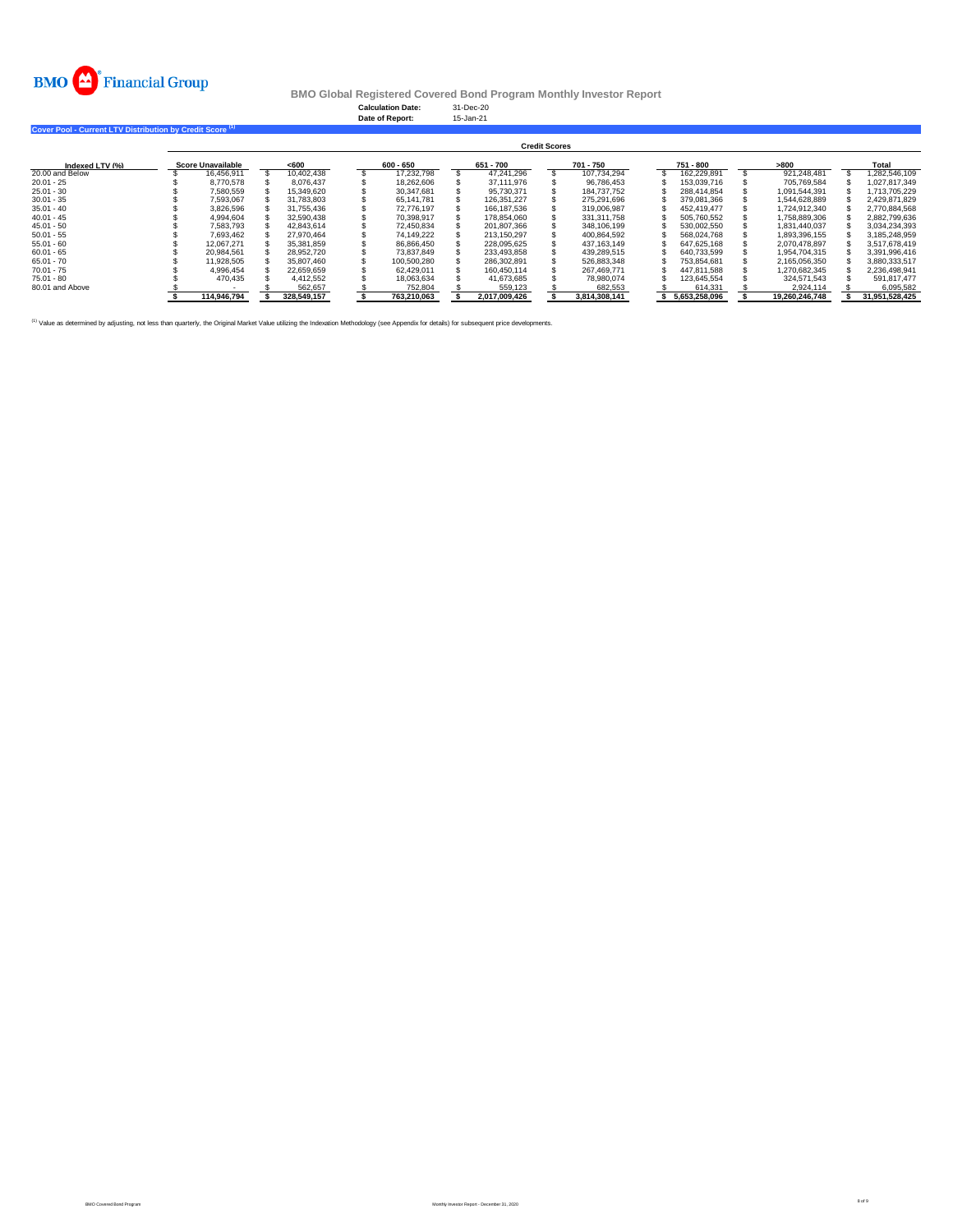

**Calculation Date:** 31-Dec-20 **Date of Report:** 15-Jan-21

**Cover Pool - Current LTV Distribution by Credit Score (1)** 

|                 | <b>Credit Scores</b>     |             |       |             |  |             |  |               |  |               |  |               |  |                |  |                |  |
|-----------------|--------------------------|-------------|-------|-------------|--|-------------|--|---------------|--|---------------|--|---------------|--|----------------|--|----------------|--|
| Indexed LTV (%) | <b>Score Unavailable</b> |             | < 600 |             |  | 600 - 650   |  | 651 - 700     |  | 701 - 750     |  | 751 - 800     |  | >800           |  | Total          |  |
| 20.00 and Below |                          | 16.456.911  |       | 10.402.438  |  | 17.232.798  |  | 47.241.296    |  | 107.734.294   |  | 162.229.891   |  | 921.248.481    |  | 1.282.546.109  |  |
| $20.01 - 25$    |                          | 8.770.578   |       | 8.076.437   |  | 18.262.606  |  | 37.111.976    |  | 96.786.453    |  | 153,039,716   |  | 705.769.584    |  | 1.027.817.349  |  |
| $25.01 - 30$    |                          | 7.580.559   |       | 15.349.620  |  | 30.347.681  |  | 95.730.371    |  | 184.737.752   |  | 288.414.854   |  | 1.091.544.391  |  | 1.713.705.229  |  |
| $30.01 - 35$    |                          | 7.593.067   |       | 31,783,803  |  | 65.141.781  |  | 126.351.227   |  | 275.291.696   |  | 379.081.366   |  | 1.544.628.889  |  | 2.429.871.829  |  |
| $35.01 - 40$    |                          | 3.826.596   |       | 31.755.436  |  | 72.776.197  |  | 166.187.536   |  | 319,006.987   |  | 452.419.477   |  | 1.724.912.340  |  | 2.770.884.568  |  |
| $40.01 - 45$    |                          | 4.994.604   |       | 32.590.438  |  | 70.398.917  |  | 178.854.060   |  | 331.311.758   |  | 505.760.552   |  | 1.758.889.306  |  | 2.882.799.636  |  |
| $45.01 - 50$    |                          | 7.583.793   |       | 42.843.614  |  | 72.450.834  |  | 201.807.366   |  | 348.106.199   |  | 530.002.550   |  | 1.831.440.037  |  | 3.034.234.393  |  |
| $50.01 - 55$    |                          | 7.693.462   |       | 27.970.464  |  | 74.149.222  |  | 213.150.297   |  | 400.864.592   |  | 568.024.768   |  | 1.893.396.155  |  | 3.185.248.959  |  |
| $55.01 - 60$    |                          | 12.067.271  |       | 35,381,859  |  | 86.866.450  |  | 228.095.625   |  | 437.163.149   |  | 647.625.168   |  | 2.070.478.897  |  | 3.517.678.419  |  |
| $60.01 - 65$    |                          | 20.984.561  |       | 28.952.720  |  | 73.837.849  |  | 233.493.858   |  | 439.289.515   |  | 640.733.599   |  | 1.954.704.315  |  | 3.391.996.416  |  |
| $65.01 - 70$    |                          | 11.928.505  |       | 35,807,460  |  | 100.500.280 |  | 286.302.891   |  | 526.883.348   |  | 753.854.681   |  | 2.165.056.350  |  | 3.880.333.517  |  |
| $70.01 - 75$    |                          | 4.996.454   |       | 22.659.659  |  | 62.429.011  |  | 160.450.114   |  | 267.469.771   |  | 447.811.588   |  | 1.270.682.345  |  | 2.236.498.941  |  |
| $75.01 - 80$    |                          | 470.435     |       | 4.412.552   |  | 18.063.634  |  | 41.673.685    |  | 78.980.074    |  | 123.645.554   |  | 324.571.543    |  | 591.817.477    |  |
| 80.01 and Above |                          |             |       | 562.657     |  | 752,804     |  | 559.123       |  | 682.553       |  | 614.331       |  | 2.924.114      |  | 6.095.582      |  |
|                 |                          | 114.946.794 |       | 328,549,157 |  | 763.210.063 |  | 2.017.009.426 |  | 3.814.308.141 |  | 5.653.258.096 |  | 19.260.246.748 |  | 31.951.528.425 |  |

<sup>(1)</sup> Value as determined by adjusting, not less than quarterly, the Original Market Value utilizing the Indexation Methodology (see Appendix for details) for subsequent price developments.